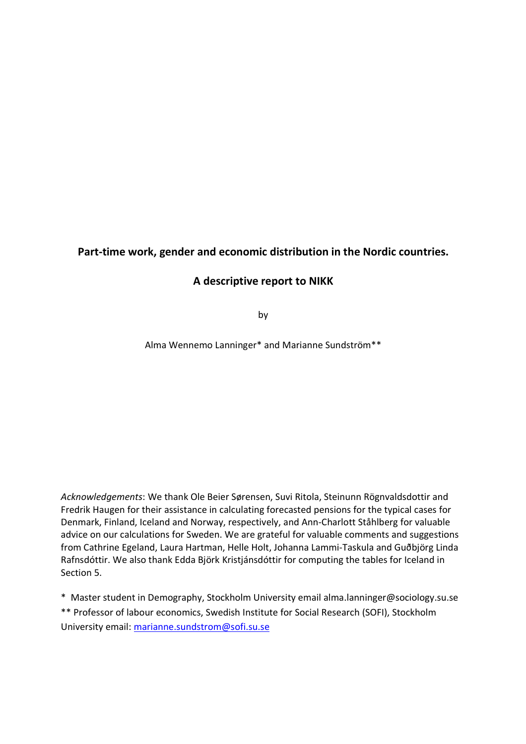## **Part-time work, gender and economic distribution in the Nordic countries.**

## **A descriptive report to NIKK**

by

Alma Wennemo Lanninger\* and Marianne Sundström\*\*

*Acknowledgements*: We thank Ole Beier Sørensen, Suvi Ritola, Steinunn Rögnvaldsdottir and Fredrik Haugen for their assistance in calculating forecasted pensions for the typical cases for Denmark, Finland, Iceland and Norway, respectively, and Ann-Charlott Ståhlberg for valuable advice on our calculations for Sweden. We are grateful for valuable comments and suggestions from Cathrine Egeland, Laura Hartman, Helle Holt, Johanna Lammi-Taskula and Guðbjörg Linda Rafnsdóttir. We also thank Edda Björk Kristjánsdóttir for computing the tables for Iceland in Section 5.

\* Master student in Demography, Stockholm University email alma.lanninger@sociology.su.se

\*\* Professor of labour economics, Swedish Institute for Social Research (SOFI), Stockholm University email: marianne.sundstrom@sofi.su.se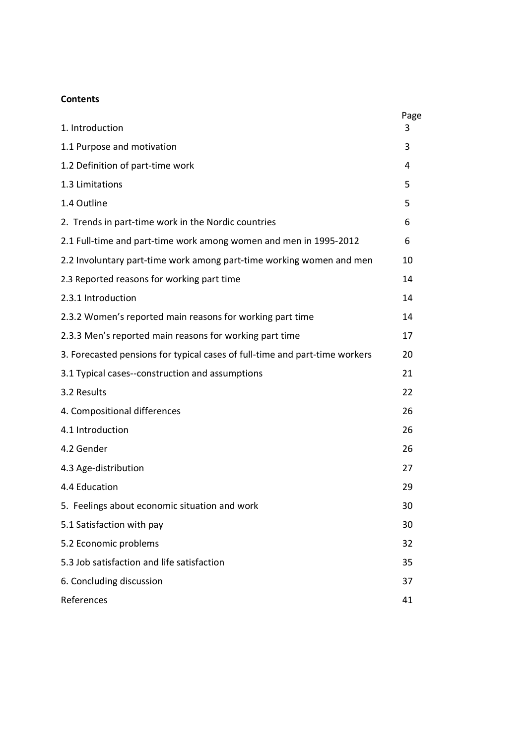## **Contents**

| 1. Introduction                                                             | Page<br>3 |
|-----------------------------------------------------------------------------|-----------|
|                                                                             |           |
| 1.1 Purpose and motivation                                                  | 3         |
| 1.2 Definition of part-time work                                            | 4         |
| 1.3 Limitations                                                             | 5         |
| 1.4 Outline                                                                 | 5         |
| 2. Trends in part-time work in the Nordic countries                         | 6         |
| 2.1 Full-time and part-time work among women and men in 1995-2012           | 6         |
| 2.2 Involuntary part-time work among part-time working women and men        | 10        |
| 2.3 Reported reasons for working part time                                  | 14        |
| 2.3.1 Introduction                                                          | 14        |
| 2.3.2 Women's reported main reasons for working part time                   | 14        |
| 2.3.3 Men's reported main reasons for working part time                     | 17        |
| 3. Forecasted pensions for typical cases of full-time and part-time workers | 20        |
| 3.1 Typical cases--construction and assumptions                             | 21        |
| 3.2 Results                                                                 | 22        |
| 4. Compositional differences                                                | 26        |
| 4.1 Introduction                                                            | 26        |
| 4.2 Gender                                                                  | 26        |
| 4.3 Age-distribution                                                        | 27        |
| 4.4 Education                                                               | 29        |
| 5. Feelings about economic situation and work                               | 30        |
| 5.1 Satisfaction with pay                                                   | 30        |
| 5.2 Economic problems                                                       | 32        |
| 5.3 Job satisfaction and life satisfaction                                  | 35        |
| 6. Concluding discussion                                                    | 37        |
| References                                                                  | 41        |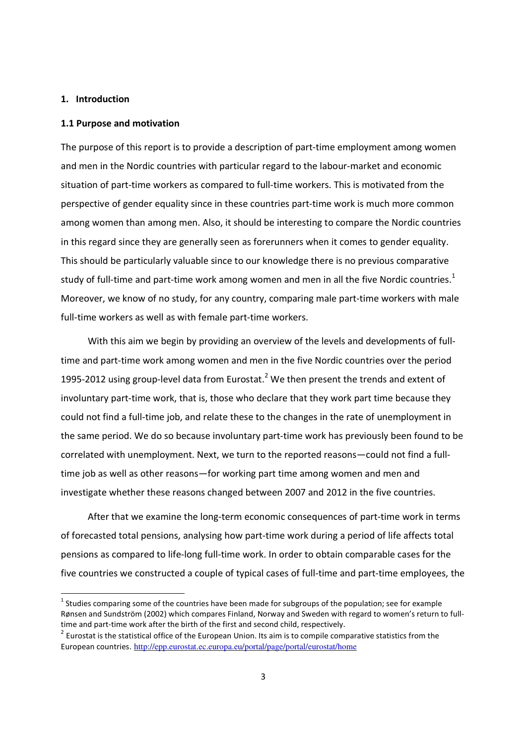#### **1. Introduction**

<u>.</u>

#### **1.1 Purpose and motivation**

The purpose of this report is to provide a description of part-time employment among women and men in the Nordic countries with particular regard to the labour-market and economic situation of part-time workers as compared to full-time workers. This is motivated from the perspective of gender equality since in these countries part-time work is much more common among women than among men. Also, it should be interesting to compare the Nordic countries in this regard since they are generally seen as forerunners when it comes to gender equality. This should be particularly valuable since to our knowledge there is no previous comparative study of full-time and part-time work among women and men in all the five Nordic countries. $<sup>1</sup>$ </sup> Moreover, we know of no study, for any country, comparing male part-time workers with male full-time workers as well as with female part-time workers.

With this aim we begin by providing an overview of the levels and developments of fulltime and part-time work among women and men in the five Nordic countries over the period 1995-2012 using group-level data from Eurostat.<sup>2</sup> We then present the trends and extent of involuntary part-time work, that is, those who declare that they work part time because they could not find a full-time job, and relate these to the changes in the rate of unemployment in the same period. We do so because involuntary part-time work has previously been found to be correlated with unemployment. Next, we turn to the reported reasons—could not find a fulltime job as well as other reasons—for working part time among women and men and investigate whether these reasons changed between 2007 and 2012 in the five countries.

After that we examine the long-term economic consequences of part-time work in terms of forecasted total pensions, analysing how part-time work during a period of life affects total pensions as compared to life-long full-time work. In order to obtain comparable cases for the five countries we constructed a couple of typical cases of full-time and part-time employees, the

 $^1$  Studies comparing some of the countries have been made for subgroups of the population; see for example Rønsen and Sundström (2002) which compares Finland, Norway and Sweden with regard to women's return to fulltime and part-time work after the birth of the first and second child, respectively.

 $2$  Eurostat is the statistical office of the European Union. Its aim is to compile comparative statistics from the European countries. http://epp.eurostat.ec.europa.eu/portal/page/portal/eurostat/home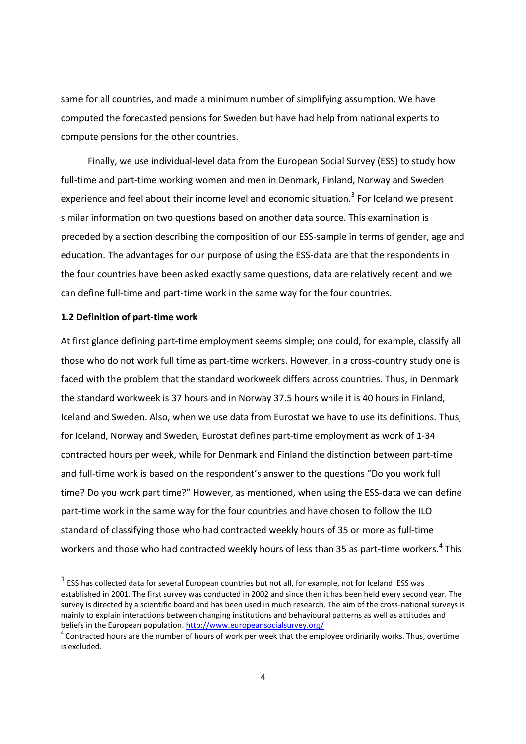same for all countries, and made a minimum number of simplifying assumption. We have computed the forecasted pensions for Sweden but have had help from national experts to compute pensions for the other countries.

Finally, we use individual-level data from the European Social Survey (ESS) to study how full-time and part-time working women and men in Denmark, Finland, Norway and Sweden experience and feel about their income level and economic situation.<sup>3</sup> For Iceland we present similar information on two questions based on another data source. This examination is preceded by a section describing the composition of our ESS-sample in terms of gender, age and education. The advantages for our purpose of using the ESS-data are that the respondents in the four countries have been asked exactly same questions, data are relatively recent and we can define full-time and part-time work in the same way for the four countries.

#### **1.2 Definition of part-time work**

<u>.</u>

At first glance defining part-time employment seems simple; one could, for example, classify all those who do not work full time as part-time workers. However, in a cross-country study one is faced with the problem that the standard workweek differs across countries. Thus, in Denmark the standard workweek is 37 hours and in Norway 37.5 hours while it is 40 hours in Finland, Iceland and Sweden. Also, when we use data from Eurostat we have to use its definitions. Thus, for Iceland, Norway and Sweden, Eurostat defines part-time employment as work of 1-34 contracted hours per week, while for Denmark and Finland the distinction between part-time and full-time work is based on the respondent's answer to the questions "Do you work full time? Do you work part time?" However, as mentioned, when using the ESS-data we can define part-time work in the same way for the four countries and have chosen to follow the ILO standard of classifying those who had contracted weekly hours of 35 or more as full-time workers and those who had contracted weekly hours of less than 35 as part-time workers.<sup>4</sup> This

 $^3$  ESS has collected data for several European countries but not all, for example, not for Iceland. ESS was established in 2001. The first survey was conducted in 2002 and since then it has been held every second year. The survey is directed by a scientific board and has been used in much research. The aim of the cross-national surveys is mainly to explain interactions between changing institutions and behavioural patterns as well as attitudes and beliefs in the European population. http://www.europeansocialsurvey.org/

 $4$  Contracted hours are the number of hours of work per week that the employee ordinarily works. Thus, overtime is excluded.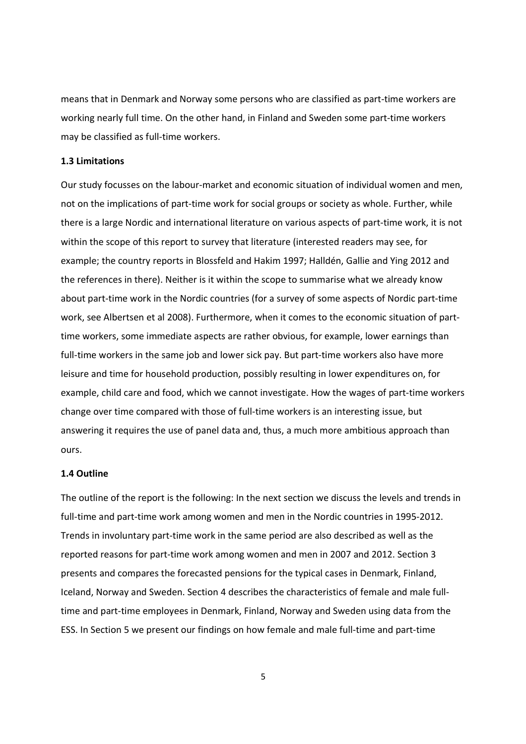means that in Denmark and Norway some persons who are classified as part-time workers are working nearly full time. On the other hand, in Finland and Sweden some part-time workers may be classified as full-time workers.

#### **1.3 Limitations**

Our study focusses on the labour-market and economic situation of individual women and men, not on the implications of part-time work for social groups or society as whole. Further, while there is a large Nordic and international literature on various aspects of part-time work, it is not within the scope of this report to survey that literature (interested readers may see, for example; the country reports in Blossfeld and Hakim 1997; Halldén, Gallie and Ying 2012 and the references in there). Neither is it within the scope to summarise what we already know about part-time work in the Nordic countries (for a survey of some aspects of Nordic part-time work, see Albertsen et al 2008). Furthermore, when it comes to the economic situation of parttime workers, some immediate aspects are rather obvious, for example, lower earnings than full-time workers in the same job and lower sick pay. But part-time workers also have more leisure and time for household production, possibly resulting in lower expenditures on, for example, child care and food, which we cannot investigate. How the wages of part-time workers change over time compared with those of full-time workers is an interesting issue, but answering it requires the use of panel data and, thus, a much more ambitious approach than ours.

#### **1.4 Outline**

The outline of the report is the following: In the next section we discuss the levels and trends in full-time and part-time work among women and men in the Nordic countries in 1995-2012. Trends in involuntary part-time work in the same period are also described as well as the reported reasons for part-time work among women and men in 2007 and 2012. Section 3 presents and compares the forecasted pensions for the typical cases in Denmark, Finland, Iceland, Norway and Sweden. Section 4 describes the characteristics of female and male fulltime and part-time employees in Denmark, Finland, Norway and Sweden using data from the ESS. In Section 5 we present our findings on how female and male full-time and part-time

5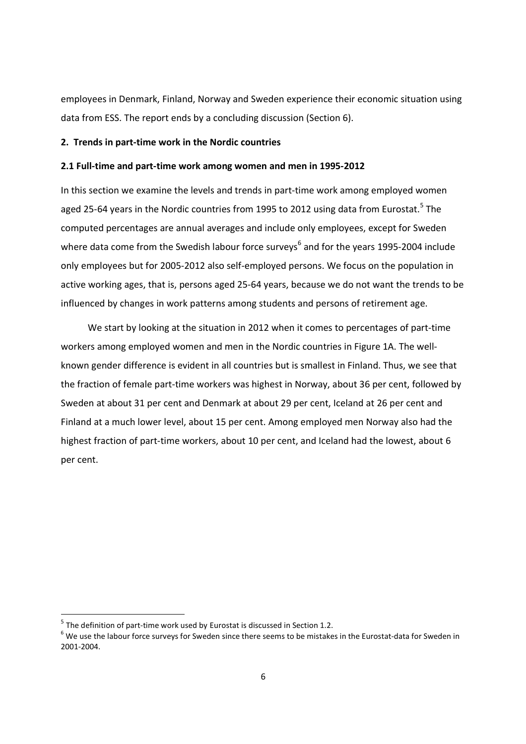employees in Denmark, Finland, Norway and Sweden experience their economic situation using data from ESS. The report ends by a concluding discussion (Section 6).

#### **2. Trends in part-time work in the Nordic countries**

#### **2.1 Full-time and part-time work among women and men in 1995-2012**

In this section we examine the levels and trends in part-time work among employed women aged 25-64 years in the Nordic countries from 1995 to 2012 using data from Eurostat.<sup>5</sup> The computed percentages are annual averages and include only employees, except for Sweden where data come from the Swedish labour force surveys<sup>6</sup> and for the years 1995-2004 include only employees but for 2005-2012 also self-employed persons. We focus on the population in active working ages, that is, persons aged 25-64 years, because we do not want the trends to be influenced by changes in work patterns among students and persons of retirement age.

We start by looking at the situation in 2012 when it comes to percentages of part-time workers among employed women and men in the Nordic countries in Figure 1A. The wellknown gender difference is evident in all countries but is smallest in Finland. Thus, we see that the fraction of female part-time workers was highest in Norway, about 36 per cent, followed by Sweden at about 31 per cent and Denmark at about 29 per cent, Iceland at 26 per cent and Finland at a much lower level, about 15 per cent. Among employed men Norway also had the highest fraction of part-time workers, about 10 per cent, and Iceland had the lowest, about 6 per cent.

<u>.</u>

 $<sup>5</sup>$  The definition of part-time work used by Eurostat is discussed in Section 1.2.</sup>

 $^6$  We use the labour force surveys for Sweden since there seems to be mistakes in the Eurostat-data for Sweden in 2001-2004.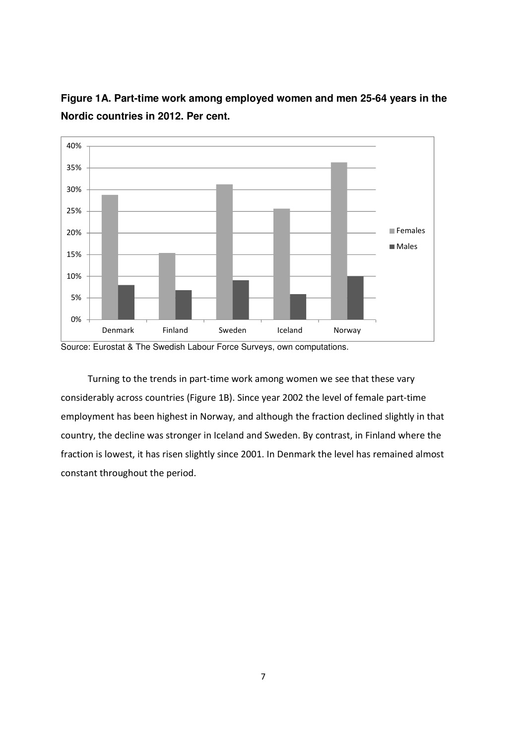

**Figure 1A. Part-time work among employed women and men 25-64 years in the Nordic countries in 2012. Per cent.** 

Source: Eurostat & The Swedish Labour Force Surveys, own computations.

Turning to the trends in part-time work among women we see that these vary considerably across countries (Figure 1B). Since year 2002 the level of female part-time employment has been highest in Norway, and although the fraction declined slightly in that country, the decline was stronger in Iceland and Sweden. By contrast, in Finland where the fraction is lowest, it has risen slightly since 2001. In Denmark the level has remained almost constant throughout the period.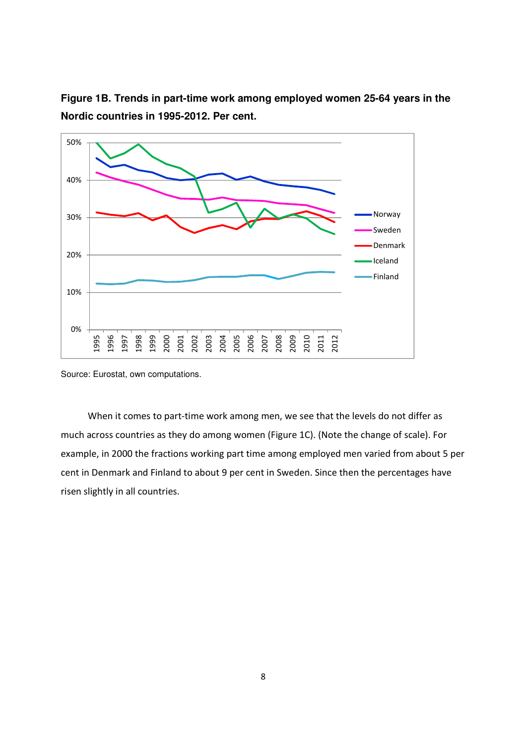

**Figure 1B. Trends in part-time work among employed women 25-64 years in the Nordic countries in 1995-2012. Per cent.** 

Source: Eurostat, own computations.

When it comes to part-time work among men, we see that the levels do not differ as much across countries as they do among women (Figure 1C). (Note the change of scale). For example, in 2000 the fractions working part time among employed men varied from about 5 per cent in Denmark and Finland to about 9 per cent in Sweden. Since then the percentages have risen slightly in all countries.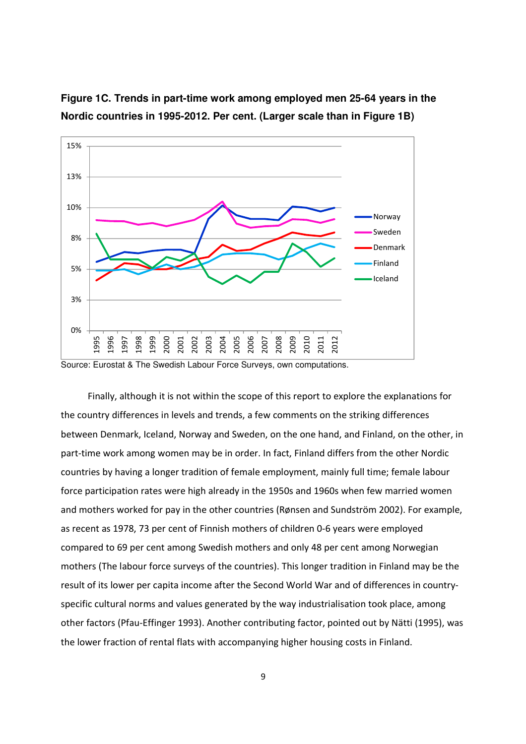

**Figure 1C. Trends in part-time work among employed men 25-64 years in the Nordic countries in 1995-2012. Per cent. (Larger scale than in Figure 1B)** 

Finally, although it is not within the scope of this report to explore the explanations for the country differences in levels and trends, a few comments on the striking differences between Denmark, Iceland, Norway and Sweden, on the one hand, and Finland, on the other, in part-time work among women may be in order. In fact, Finland differs from the other Nordic countries by having a longer tradition of female employment, mainly full time; female labour force participation rates were high already in the 1950s and 1960s when few married women and mothers worked for pay in the other countries (Rønsen and Sundström 2002). For example, as recent as 1978, 73 per cent of Finnish mothers of children 0-6 years were employed compared to 69 per cent among Swedish mothers and only 48 per cent among Norwegian mothers (The labour force surveys of the countries). This longer tradition in Finland may be the result of its lower per capita income after the Second World War and of differences in countryspecific cultural norms and values generated by the way industrialisation took place, among other factors (Pfau-Effinger 1993). Another contributing factor, pointed out by Nätti (1995), was the lower fraction of rental flats with accompanying higher housing costs in Finland.

Source: Eurostat & The Swedish Labour Force Surveys, own computations.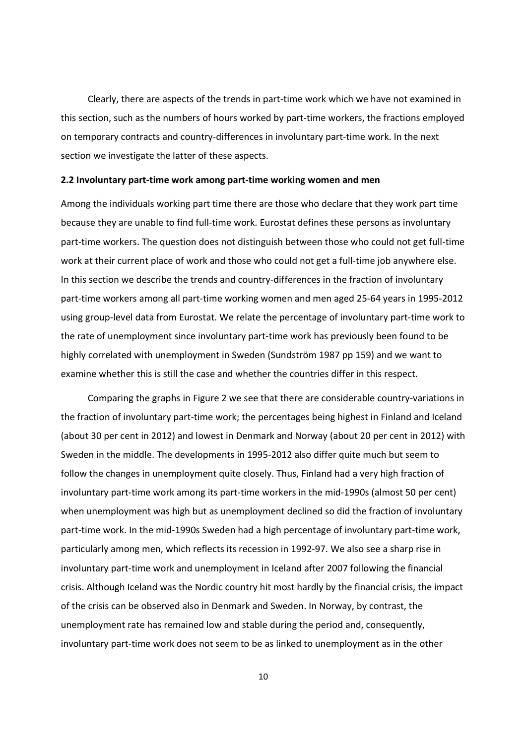Clearly, there are aspects of the trends in part-time work which we have not examined in this section, such as the numbers of hours worked by part-time workers, the fractions employed on temporary contracts and country-differences in involuntary part-time work. In the next section we investigate the latter of these aspects.

#### **2.2 Involuntary part-time work among part-time working women and men**

Among the individuals working part time there are those who declare that they work part time because they are unable to find full-time work. Eurostat defines these persons as involuntary part-time workers. The question does not distinguish between those who could not get full-time work at their current place of work and those who could not get a full-time job anywhere else. In this section we describe the trends and country-differences in the fraction of involuntary part-time workers among all part-time working women and men aged 25-64 years in 1995-2012 using group-level data from Eurostat. We relate the percentage of involuntary part-time work to the rate of unemployment since involuntary part-time work has previously been found to be highly correlated with unemployment in Sweden (Sundström 1987 pp 159) and we want to examine whether this is still the case and whether the countries differ in this respect.

Comparing the graphs in Figure 2 we see that there are considerable country-variations in the fraction of involuntary part-time work; the percentages being highest in Finland and Iceland (about 30 per cent in 2012) and lowest in Denmark and Norway (about 20 per cent in 2012) with Sweden in the middle. The developments in 1995-2012 also differ quite much but seem to follow the changes in unemployment quite closely. Thus, Finland had a very high fraction of involuntary part-time work among its part-time workers in the mid-1990s (almost 50 per cent) when unemployment was high but as unemployment declined so did the fraction of involuntary part-time work. In the mid-1990s Sweden had a high percentage of involuntary part-time work, particularly among men, which reflects its recession in 1992-97. We also see a sharp rise in involuntary part-time work and unemployment in Iceland after 2007 following the financial crisis. Although Iceland was the Nordic country hit most hardly by the financial crisis, the impact of the crisis can be observed also in Denmark and Sweden. In Norway, by contrast, the unemployment rate has remained low and stable during the period and, consequently, involuntary part-time work does not seem to be as linked to unemployment as in the other

10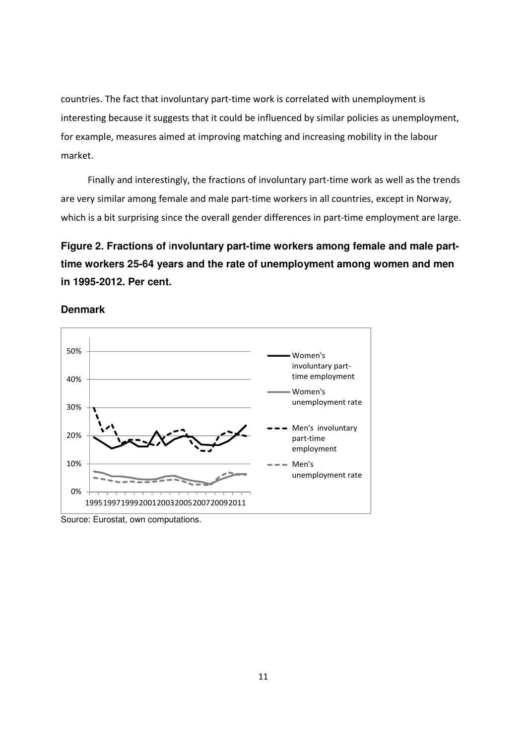countries. The fact that involuntary part-time work is correlated with unemployment is interesting because it suggests that it could be influenced by similar policies as unemployment, for example, measures aimed at improving matching and increasing mobility in the labour market.

Finally and interestingly, the fractions of involuntary part-time work as well as the trends are very similar among female and male part-time workers in all countries, except in Norway, which is a bit surprising since the overall gender differences in part-time employment are large.

# **Figure 2. Fractions of** i**nvoluntary part-time workers among female and male parttime workers 25-64 years and the rate of unemployment among women and men in 1995-2012. Per cent.**





Source: Eurostat, own computations.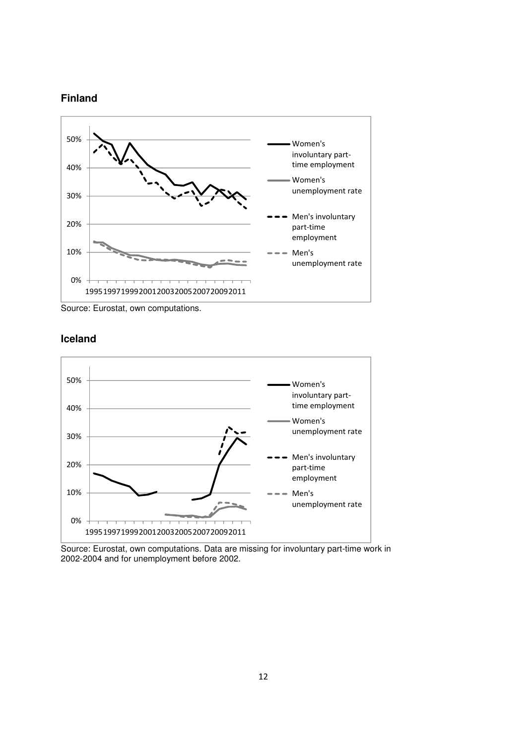## **Finland**



Source: Eurostat, own computations.



### **Iceland**

Source: Eurostat, own computations. Data are missing for involuntary part-time work in 2002-2004 and for unemployment before 2002.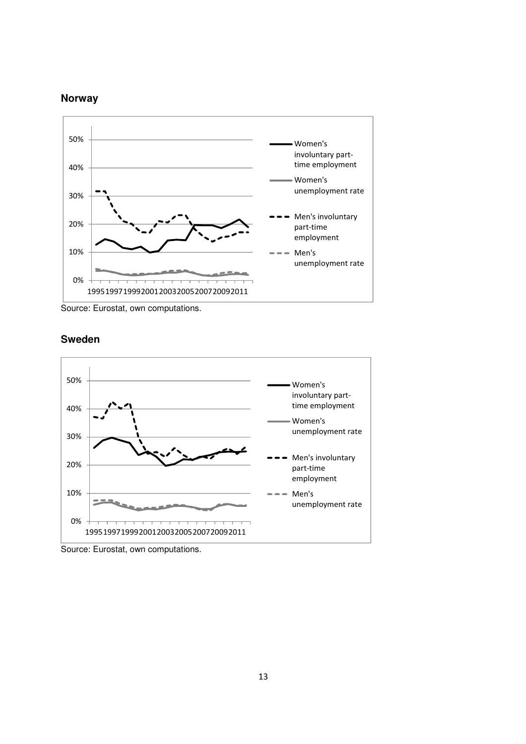## **Norway**



Source: Eurostat, own computations.



## **Sweden**

Source: Eurostat, own computations.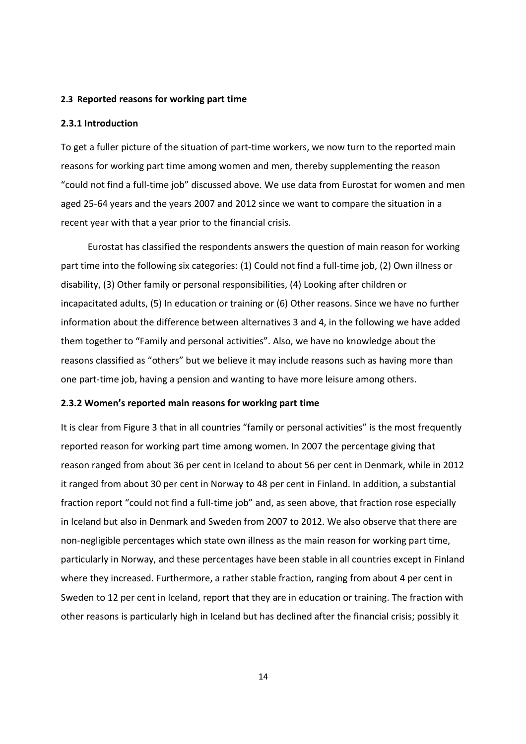#### **2.3 Reported reasons for working part time**

#### **2.3.1 Introduction**

To get a fuller picture of the situation of part-time workers, we now turn to the reported main reasons for working part time among women and men, thereby supplementing the reason "could not find a full-time job" discussed above. We use data from Eurostat for women and men aged 25-64 years and the years 2007 and 2012 since we want to compare the situation in a recent year with that a year prior to the financial crisis.

Eurostat has classified the respondents answers the question of main reason for working part time into the following six categories: (1) Could not find a full-time job, (2) Own illness or disability, (3) Other family or personal responsibilities, (4) Looking after children or incapacitated adults, (5) In education or training or (6) Other reasons. Since we have no further information about the difference between alternatives 3 and 4, in the following we have added them together to "Family and personal activities". Also, we have no knowledge about the reasons classified as "others" but we believe it may include reasons such as having more than one part-time job, having a pension and wanting to have more leisure among others.

#### **2.3.2 Women's reported main reasons for working part time**

It is clear from Figure 3 that in all countries "family or personal activities" is the most frequently reported reason for working part time among women. In 2007 the percentage giving that reason ranged from about 36 per cent in Iceland to about 56 per cent in Denmark, while in 2012 it ranged from about 30 per cent in Norway to 48 per cent in Finland. In addition, a substantial fraction report "could not find a full-time job" and, as seen above, that fraction rose especially in Iceland but also in Denmark and Sweden from 2007 to 2012. We also observe that there are non-negligible percentages which state own illness as the main reason for working part time, particularly in Norway, and these percentages have been stable in all countries except in Finland where they increased. Furthermore, a rather stable fraction, ranging from about 4 per cent in Sweden to 12 per cent in Iceland, report that they are in education or training. The fraction with other reasons is particularly high in Iceland but has declined after the financial crisis; possibly it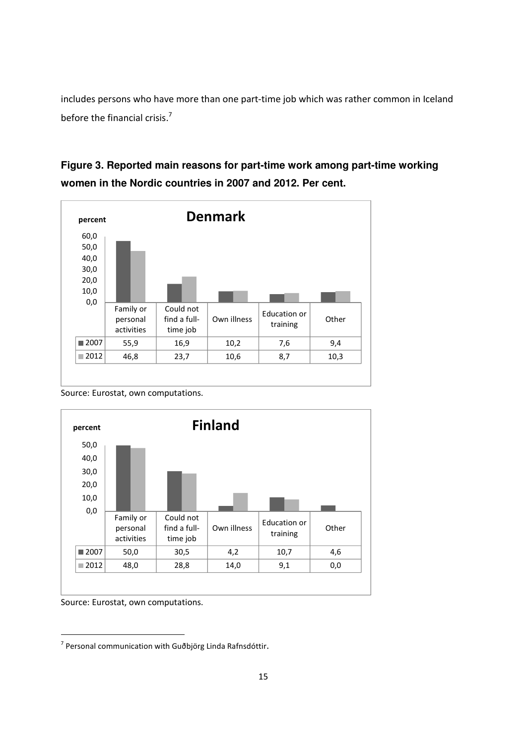includes persons who have more than one part-time job which was rather common in Iceland before the financial crisis.<sup>7</sup>

# **Figure 3. Reported main reasons for part-time work among part-time working women in the Nordic countries in 2007 and 2012. Per cent.**



Source: Eurostat, own computations.



Source: Eurostat, own computations.

<u>.</u>

<sup>&</sup>lt;sup>7</sup> Personal communication with Guðbjörg Linda Rafnsdóttir.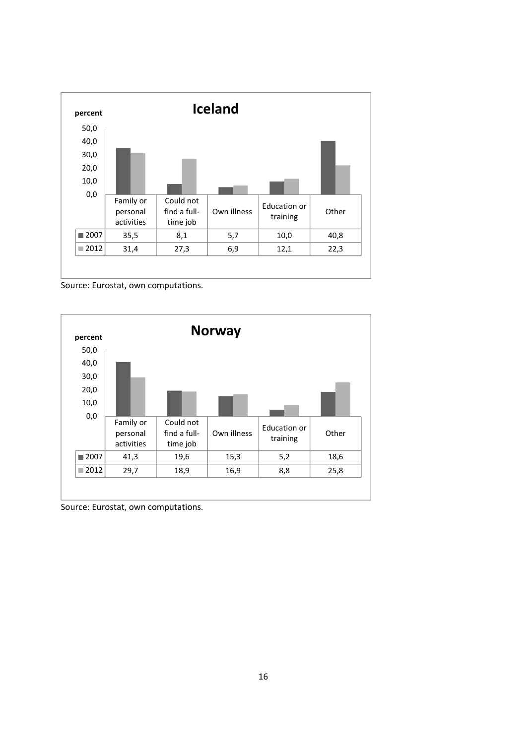

Source: Eurostat, own computations.



Source: Eurostat, own computations.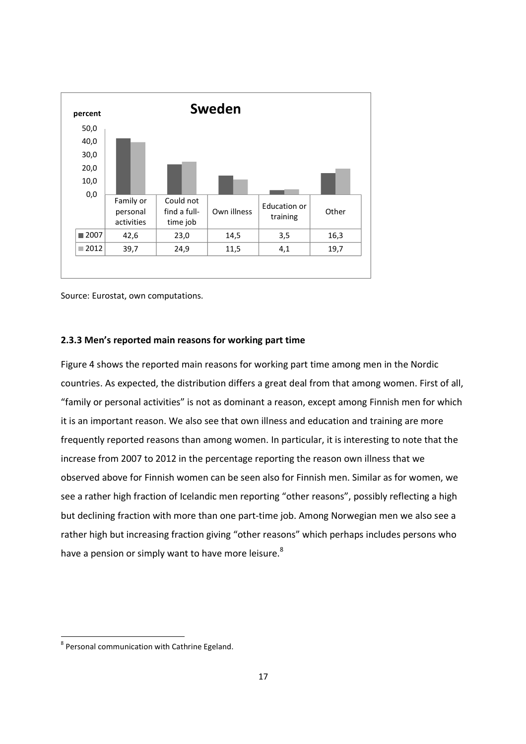

Source: Eurostat, own computations.

#### **2.3.3 Men's reported main reasons for working part time**

Figure 4 shows the reported main reasons for working part time among men in the Nordic countries. As expected, the distribution differs a great deal from that among women. First of all, "family or personal activities" is not as dominant a reason, except among Finnish men for which it is an important reason. We also see that own illness and education and training are more frequently reported reasons than among women. In particular, it is interesting to note that the increase from 2007 to 2012 in the percentage reporting the reason own illness that we observed above for Finnish women can be seen also for Finnish men. Similar as for women, we see a rather high fraction of Icelandic men reporting "other reasons", possibly reflecting a high but declining fraction with more than one part-time job. Among Norwegian men we also see a rather high but increasing fraction giving "other reasons" which perhaps includes persons who have a pension or simply want to have more leisure.<sup>8</sup>

<u>.</u>

<sup>&</sup>lt;sup>8</sup> Personal communication with Cathrine Egeland.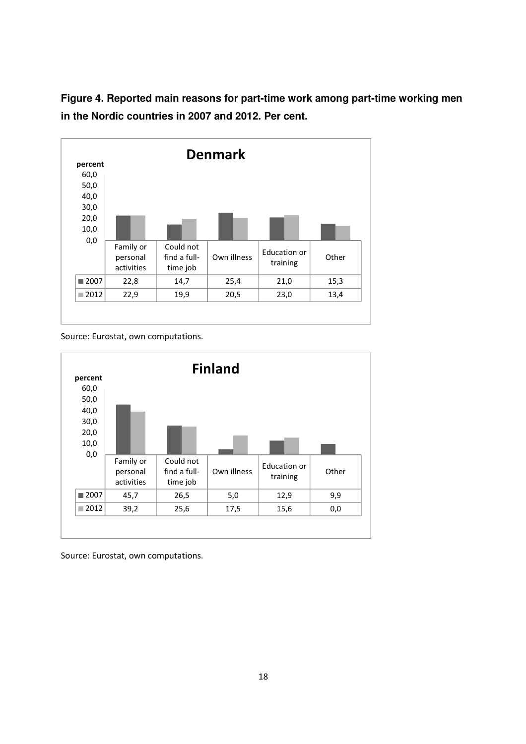**Figure 4. Reported main reasons for part-time work among part-time working men in the Nordic countries in 2007 and 2012. Per cent.** 



Source: Eurostat, own computations.



Source: Eurostat, own computations.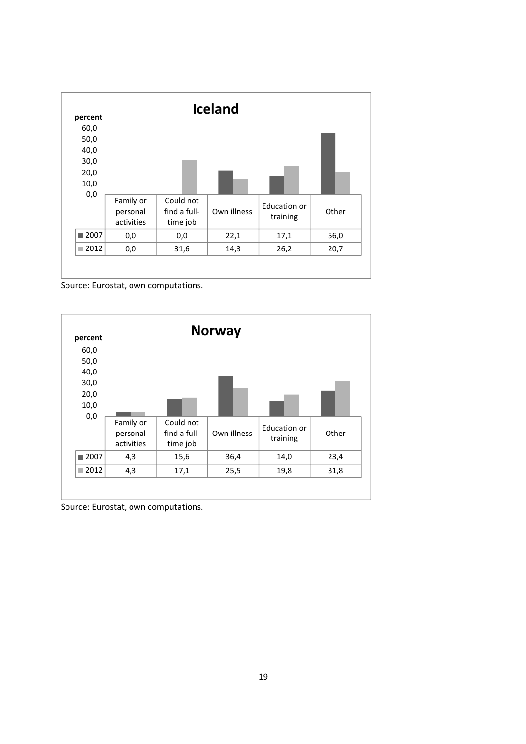

Source: Eurostat, own computations.



Source: Eurostat, own computations.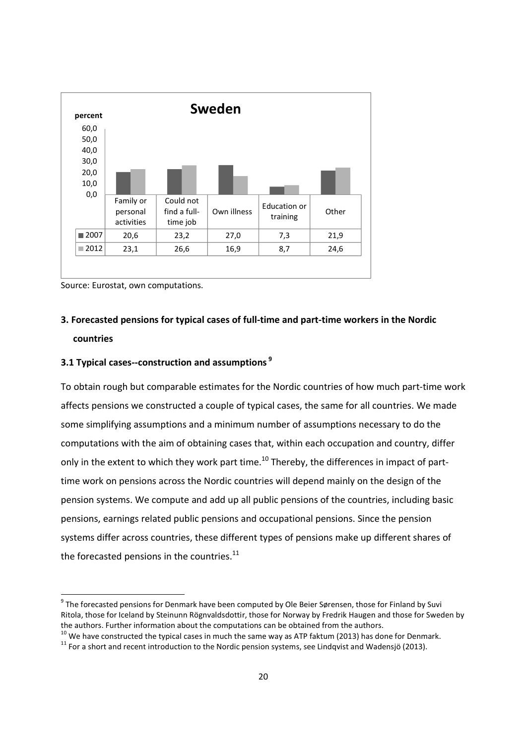

Source: Eurostat, own computations.

<u>.</u>

## **3. Forecasted pensions for typical cases of full-time and part-time workers in the Nordic countries**

## **3.1 Typical cases--construction and assumptions<sup>9</sup>**

To obtain rough but comparable estimates for the Nordic countries of how much part-time work affects pensions we constructed a couple of typical cases, the same for all countries. We made some simplifying assumptions and a minimum number of assumptions necessary to do the computations with the aim of obtaining cases that, within each occupation and country, differ only in the extent to which they work part time.<sup>10</sup> Thereby, the differences in impact of parttime work on pensions across the Nordic countries will depend mainly on the design of the pension systems. We compute and add up all public pensions of the countries, including basic pensions, earnings related public pensions and occupational pensions. Since the pension systems differ across countries, these different types of pensions make up different shares of the forecasted pensions in the countries.<sup>11</sup>

<sup>&</sup>lt;sup>9</sup> The forecasted pensions for Denmark have been computed by Ole Beier Sørensen, those for Finland by Suvi Ritola, those for Iceland by Steinunn Rögnvaldsdottir, those for Norway by Fredrik Haugen and those for Sweden by the authors. Further information about the computations can be obtained from the authors.

 $10$  We have constructed the typical cases in much the same way as ATP faktum (2013) has done for Denmark.

 $11$  For a short and recent introduction to the Nordic pension systems, see Lindqvist and Wadensjö (2013).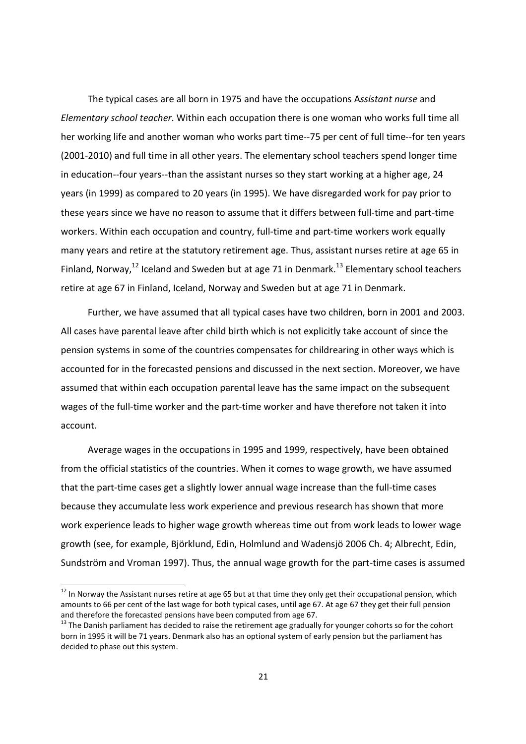The typical cases are all born in 1975 and have the occupations A*ssistant nurse* and *Elementary school teacher*. Within each occupation there is one woman who works full time all her working life and another woman who works part time--75 per cent of full time--for ten years (2001-2010) and full time in all other years. The elementary school teachers spend longer time in education--four years--than the assistant nurses so they start working at a higher age, 24 years (in 1999) as compared to 20 years (in 1995). We have disregarded work for pay prior to these years since we have no reason to assume that it differs between full-time and part-time workers. Within each occupation and country, full-time and part-time workers work equally many years and retire at the statutory retirement age. Thus, assistant nurses retire at age 65 in Finland, Norway.<sup>12</sup> Iceland and Sweden but at age 71 in Denmark.<sup>13</sup> Elementary school teachers retire at age 67 in Finland, Iceland, Norway and Sweden but at age 71 in Denmark.

Further, we have assumed that all typical cases have two children, born in 2001 and 2003. All cases have parental leave after child birth which is not explicitly take account of since the pension systems in some of the countries compensates for childrearing in other ways which is accounted for in the forecasted pensions and discussed in the next section. Moreover, we have assumed that within each occupation parental leave has the same impact on the subsequent wages of the full-time worker and the part-time worker and have therefore not taken it into account.

Average wages in the occupations in 1995 and 1999, respectively, have been obtained from the official statistics of the countries. When it comes to wage growth, we have assumed that the part-time cases get a slightly lower annual wage increase than the full-time cases because they accumulate less work experience and previous research has shown that more work experience leads to higher wage growth whereas time out from work leads to lower wage growth (see, for example, Björklund, Edin, Holmlund and Wadensjö 2006 Ch. 4; Albrecht, Edin, Sundström and Vroman 1997). Thus, the annual wage growth for the part-time cases is assumed

<u>.</u>

<sup>&</sup>lt;sup>12</sup> In Norway the Assistant nurses retire at age 65 but at that time they only get their occupational pension, which amounts to 66 per cent of the last wage for both typical cases, until age 67. At age 67 they get their full pension and therefore the forecasted pensions have been computed from age 67.

 $13$  The Danish parliament has decided to raise the retirement age gradually for younger cohorts so for the cohort born in 1995 it will be 71 years. Denmark also has an optional system of early pension but the parliament has decided to phase out this system.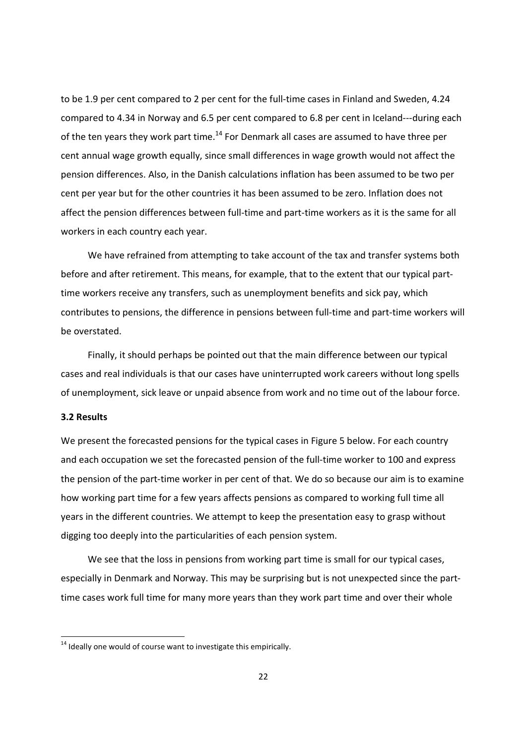to be 1.9 per cent compared to 2 per cent for the full-time cases in Finland and Sweden, 4.24 compared to 4.34 in Norway and 6.5 per cent compared to 6.8 per cent in Iceland---during each of the ten years they work part time.<sup>14</sup> For Denmark all cases are assumed to have three per cent annual wage growth equally, since small differences in wage growth would not affect the pension differences. Also, in the Danish calculations inflation has been assumed to be two per cent per year but for the other countries it has been assumed to be zero. Inflation does not affect the pension differences between full-time and part-time workers as it is the same for all workers in each country each year.

We have refrained from attempting to take account of the tax and transfer systems both before and after retirement. This means, for example, that to the extent that our typical parttime workers receive any transfers, such as unemployment benefits and sick pay, which contributes to pensions, the difference in pensions between full-time and part-time workers will be overstated.

Finally, it should perhaps be pointed out that the main difference between our typical cases and real individuals is that our cases have uninterrupted work careers without long spells of unemployment, sick leave or unpaid absence from work and no time out of the labour force.

#### **3.2 Results**

<u>.</u>

We present the forecasted pensions for the typical cases in Figure 5 below. For each country and each occupation we set the forecasted pension of the full-time worker to 100 and express the pension of the part-time worker in per cent of that. We do so because our aim is to examine how working part time for a few years affects pensions as compared to working full time all years in the different countries. We attempt to keep the presentation easy to grasp without digging too deeply into the particularities of each pension system.

We see that the loss in pensions from working part time is small for our typical cases, especially in Denmark and Norway. This may be surprising but is not unexpected since the parttime cases work full time for many more years than they work part time and over their whole

 $14$  Ideally one would of course want to investigate this empirically.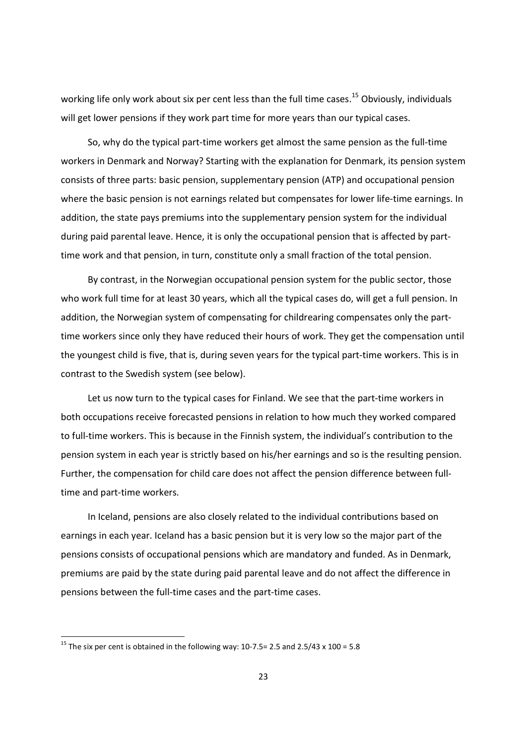working life only work about six per cent less than the full time cases.<sup>15</sup> Obviously, individuals will get lower pensions if they work part time for more years than our typical cases.

So, why do the typical part-time workers get almost the same pension as the full-time workers in Denmark and Norway? Starting with the explanation for Denmark, its pension system consists of three parts: basic pension, supplementary pension (ATP) and occupational pension where the basic pension is not earnings related but compensates for lower life-time earnings. In addition, the state pays premiums into the supplementary pension system for the individual during paid parental leave. Hence, it is only the occupational pension that is affected by parttime work and that pension, in turn, constitute only a small fraction of the total pension.

By contrast, in the Norwegian occupational pension system for the public sector, those who work full time for at least 30 years, which all the typical cases do, will get a full pension. In addition, the Norwegian system of compensating for childrearing compensates only the parttime workers since only they have reduced their hours of work. They get the compensation until the youngest child is five, that is, during seven years for the typical part-time workers. This is in contrast to the Swedish system (see below).

Let us now turn to the typical cases for Finland. We see that the part-time workers in both occupations receive forecasted pensions in relation to how much they worked compared to full-time workers. This is because in the Finnish system, the individual's contribution to the pension system in each year is strictly based on his/her earnings and so is the resulting pension. Further, the compensation for child care does not affect the pension difference between fulltime and part-time workers.

In Iceland, pensions are also closely related to the individual contributions based on earnings in each year. Iceland has a basic pension but it is very low so the major part of the pensions consists of occupational pensions which are mandatory and funded. As in Denmark, premiums are paid by the state during paid parental leave and do not affect the difference in pensions between the full-time cases and the part-time cases.

<u>.</u>

<sup>&</sup>lt;sup>15</sup> The six per cent is obtained in the following way: 10-7.5= 2.5 and 2.5/43 x 100 = 5.8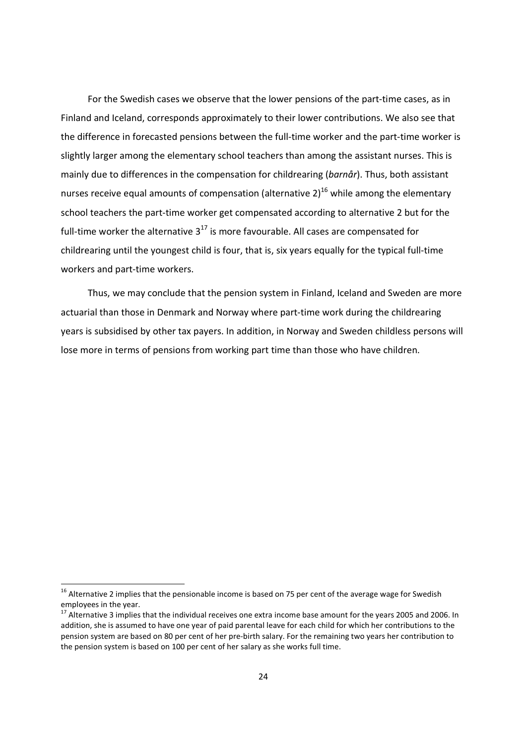For the Swedish cases we observe that the lower pensions of the part-time cases, as in Finland and Iceland, corresponds approximately to their lower contributions. We also see that the difference in forecasted pensions between the full-time worker and the part-time worker is slightly larger among the elementary school teachers than among the assistant nurses. This is mainly due to differences in the compensation for childrearing (*barnår*). Thus, both assistant nurses receive equal amounts of compensation (alternative  $2)^{16}$  while among the elementary school teachers the part-time worker get compensated according to alternative 2 but for the full-time worker the alternative  $3^{17}$  is more favourable. All cases are compensated for childrearing until the youngest child is four, that is, six years equally for the typical full-time workers and part-time workers.

Thus, we may conclude that the pension system in Finland, Iceland and Sweden are more actuarial than those in Denmark and Norway where part-time work during the childrearing years is subsidised by other tax payers. In addition, in Norway and Sweden childless persons will lose more in terms of pensions from working part time than those who have children.

<u>.</u>

 $^{16}$  Alternative 2 implies that the pensionable income is based on 75 per cent of the average wage for Swedish employees in the year.

<sup>&</sup>lt;sup>17</sup> Alternative 3 implies that the individual receives one extra income base amount for the years 2005 and 2006. In addition, she is assumed to have one year of paid parental leave for each child for which her contributions to the pension system are based on 80 per cent of her pre-birth salary. For the remaining two years her contribution to the pension system is based on 100 per cent of her salary as she works full time.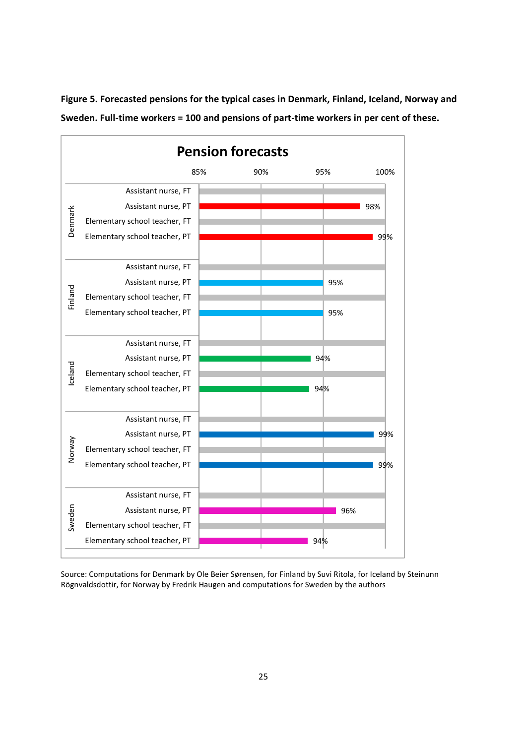

**Figure 5. Forecasted pensions for the typical cases in Denmark, Finland, Iceland, Norway and Sweden. Full-time workers = 100 and pensions of part-time workers in per cent of these.** 

Source: Computations for Denmark by Ole Beier Sørensen, for Finland by Suvi Ritola, for Iceland by Steinunn Rögnvaldsdottir, for Norway by Fredrik Haugen and computations for Sweden by the authors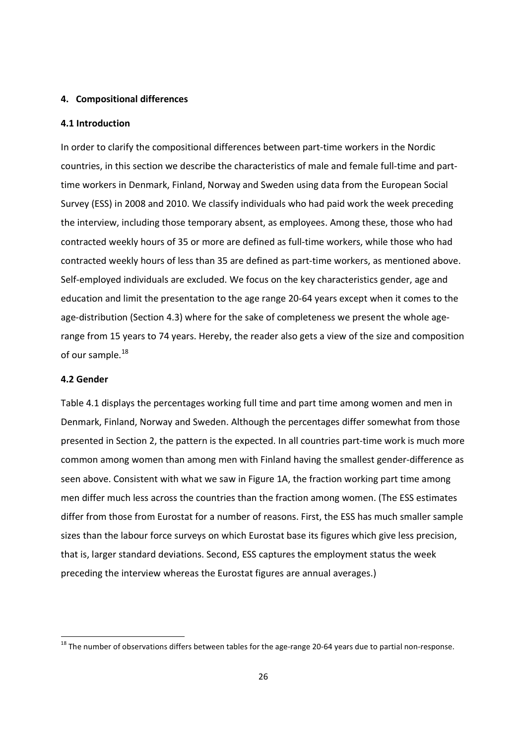#### **4. Compositional differences**

#### **4.1 Introduction**

In order to clarify the compositional differences between part-time workers in the Nordic countries, in this section we describe the characteristics of male and female full-time and parttime workers in Denmark, Finland, Norway and Sweden using data from the European Social Survey (ESS) in 2008 and 2010. We classify individuals who had paid work the week preceding the interview, including those temporary absent, as employees. Among these, those who had contracted weekly hours of 35 or more are defined as full-time workers, while those who had contracted weekly hours of less than 35 are defined as part-time workers, as mentioned above. Self-employed individuals are excluded. We focus on the key characteristics gender, age and education and limit the presentation to the age range 20-64 years except when it comes to the age-distribution (Section 4.3) where for the sake of completeness we present the whole agerange from 15 years to 74 years. Hereby, the reader also gets a view of the size and composition of our sample.<sup>18</sup>

#### **4.2 Gender**

<u>.</u>

Table 4.1 displays the percentages working full time and part time among women and men in Denmark, Finland, Norway and Sweden. Although the percentages differ somewhat from those presented in Section 2, the pattern is the expected. In all countries part-time work is much more common among women than among men with Finland having the smallest gender-difference as seen above. Consistent with what we saw in Figure 1A, the fraction working part time among men differ much less across the countries than the fraction among women. (The ESS estimates differ from those from Eurostat for a number of reasons. First, the ESS has much smaller sample sizes than the labour force surveys on which Eurostat base its figures which give less precision, that is, larger standard deviations. Second, ESS captures the employment status the week preceding the interview whereas the Eurostat figures are annual averages.)

<sup>&</sup>lt;sup>18</sup> The number of observations differs between tables for the age-range 20-64 years due to partial non-response.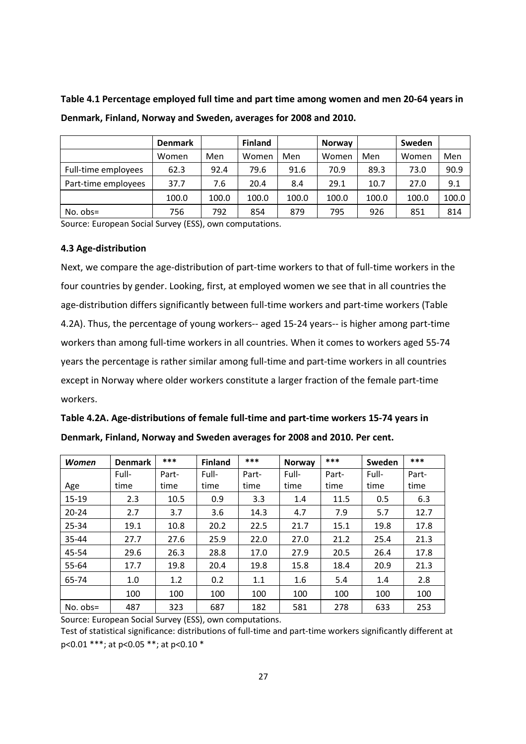| Table 4.1 Percentage employed full time and part time among women and men 20-64 years in |  |  |  |  |
|------------------------------------------------------------------------------------------|--|--|--|--|
| Denmark, Finland, Norway and Sweden, averages for 2008 and 2010.                         |  |  |  |  |
|                                                                                          |  |  |  |  |

|                     | <b>Denmark</b> |       | <b>Finland</b> |       | <b>Norway</b> |       | Sweden |       |
|---------------------|----------------|-------|----------------|-------|---------------|-------|--------|-------|
|                     | Women          | Men   | Women          | Men   | Women         | Men   | Women  | Men   |
| Full-time employees | 62.3           | 92.4  | 79.6           | 91.6  | 70.9          | 89.3  | 73.0   | 90.9  |
| Part-time employees | 37.7           | 7.6   | 20.4           | 8.4   | 29.1          | 10.7  | 27.0   | 9.1   |
|                     | 100.0          | 100.0 | 100.0          | 100.0 | 100.0         | 100.0 | 100.0  | 100.0 |
| $No. obs =$         | 756            | 792   | 854            | 879   | 795           | 926   | 851    | 814   |

Source: European Social Survey (ESS), own computations.

#### **4.3 Age-distribution**

Next, we compare the age-distribution of part-time workers to that of full-time workers in the four countries by gender. Looking, first, at employed women we see that in all countries the age-distribution differs significantly between full-time workers and part-time workers (Table 4.2A). Thus, the percentage of young workers-- aged 15-24 years-- is higher among part-time workers than among full-time workers in all countries. When it comes to workers aged 55-74 years the percentage is rather similar among full-time and part-time workers in all countries except in Norway where older workers constitute a larger fraction of the female part-time workers.

| Table 4.2A. Age-distributions of female full-time and part-time workers 15-74 years in |
|----------------------------------------------------------------------------------------|
| Denmark, Finland, Norway and Sweden averages for 2008 and 2010. Per cent.              |

| <b>Women</b> | <b>Denmark</b> | ***   | <b>Finland</b> | $***$ | <b>Norway</b> | ***   | Sweden | ***   |
|--------------|----------------|-------|----------------|-------|---------------|-------|--------|-------|
|              | Full-          | Part- | Full-          | Part- | Full-         | Part- | Full-  | Part- |
| Age          | time           | time  | time           | time  | time          | time  | time   | time  |
| $15-19$      | 2.3            | 10.5  | 0.9            | 3.3   | 1.4           | 11.5  | 0.5    | 6.3   |
| $20 - 24$    | 2.7            | 3.7   | 3.6            | 14.3  | 4.7           | 7.9   | 5.7    | 12.7  |
| 25-34        | 19.1           | 10.8  | 20.2           | 22.5  | 21.7          | 15.1  | 19.8   | 17.8  |
| 35-44        | 27.7           | 27.6  | 25.9           | 22.0  | 27.0          | 21.2  | 25.4   | 21.3  |
| 45-54        | 29.6           | 26.3  | 28.8           | 17.0  | 27.9          | 20.5  | 26.4   | 17.8  |
| 55-64        | 17.7           | 19.8  | 20.4           | 19.8  | 15.8          | 18.4  | 20.9   | 21.3  |
| 65-74        | 1.0            | 1.2   | 0.2            | 1.1   | 1.6           | 5.4   | 1.4    | 2.8   |
|              | 100            | 100   | 100            | 100   | 100           | 100   | 100    | 100   |
| $No. obs =$  | 487            | 323   | 687            | 182   | 581           | 278   | 633    | 253   |

Source: European Social Survey (ESS), own computations.

Test of statistical significance: distributions of full-time and part-time workers significantly different at p<0.01 \*\*\*; at p<0.05 \*\*; at p<0.10 \*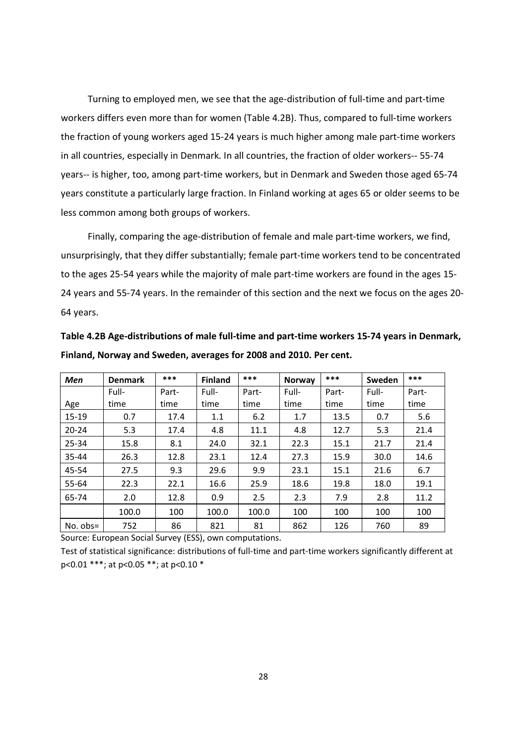Turning to employed men, we see that the age-distribution of full-time and part-time workers differs even more than for women (Table 4.2B). Thus, compared to full-time workers the fraction of young workers aged 15-24 years is much higher among male part-time workers in all countries, especially in Denmark. In all countries, the fraction of older workers-- 55-74 years-- is higher, too, among part-time workers, but in Denmark and Sweden those aged 65-74 years constitute a particularly large fraction. In Finland working at ages 65 or older seems to be less common among both groups of workers.

Finally, comparing the age-distribution of female and male part-time workers, we find, unsurprisingly, that they differ substantially; female part-time workers tend to be concentrated to the ages 25-54 years while the majority of male part-time workers are found in the ages 15- 24 years and 55-74 years. In the remainder of this section and the next we focus on the ages 20- 64 years.

| Table 4.2B Age-distributions of male full-time and part-time workers 15-74 years in Denmark, |
|----------------------------------------------------------------------------------------------|
| Finland, Norway and Sweden, averages for 2008 and 2010. Per cent.                            |

| Men        | <b>Denmark</b> | ***   | <b>Finland</b> | ***   | <b>Norway</b> | ***   | Sweden | ***   |
|------------|----------------|-------|----------------|-------|---------------|-------|--------|-------|
|            | Full-          | Part- | Full-          | Part- | Full-         | Part- | Full-  | Part- |
| Age        | time           | time  | time           | time  | time          | time  | time   | time  |
| 15-19      | 0.7            | 17.4  | 1.1            | 6.2   | 1.7           | 13.5  | 0.7    | 5.6   |
| $20 - 24$  | 5.3            | 17.4  | 4.8            | 11.1  | 4.8           | 12.7  | 5.3    | 21.4  |
| $25 - 34$  | 15.8           | 8.1   | 24.0           | 32.1  | 22.3          | 15.1  | 21.7   | 21.4  |
| 35-44      | 26.3           | 12.8  | 23.1           | 12.4  | 27.3          | 15.9  | 30.0   | 14.6  |
| 45-54      | 27.5           | 9.3   | 29.6           | 9.9   | 23.1          | 15.1  | 21.6   | 6.7   |
| 55-64      | 22.3           | 22.1  | 16.6           | 25.9  | 18.6          | 19.8  | 18.0   | 19.1  |
| 65-74      | 2.0            | 12.8  | 0.9            | 2.5   | 2.3           | 7.9   | 2.8    | 11.2  |
|            | 100.0          | 100   | 100.0          | 100.0 | 100           | 100   | 100    | 100   |
| No. $obs=$ | 752            | 86    | 821            | 81    | 862           | 126   | 760    | 89    |

Source: European Social Survey (ESS), own computations.

Test of statistical significance: distributions of full-time and part-time workers significantly different at p<0.01 \*\*\*; at p<0.05 \*\*; at p<0.10 \*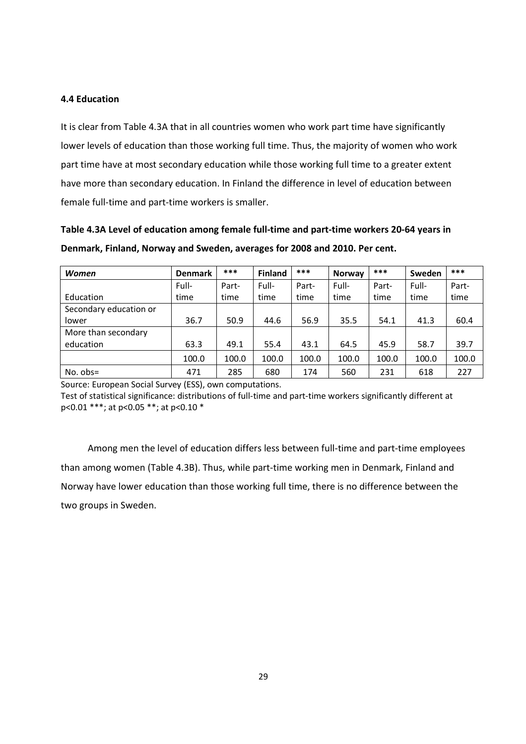#### **4.4 Education**

It is clear from Table 4.3A that in all countries women who work part time have significantly lower levels of education than those working full time. Thus, the majority of women who work part time have at most secondary education while those working full time to a greater extent have more than secondary education. In Finland the difference in level of education between female full-time and part-time workers is smaller.

| Table 4.3A Level of education among female full-time and part-time workers 20-64 years in |
|-------------------------------------------------------------------------------------------|
| Denmark, Finland, Norway and Sweden, averages for 2008 and 2010. Per cent.                |

| Women                  | <b>Denmark</b> | ***   | <b>Finland</b> | ***   | <b>Norway</b> | $***$ | Sweden | $***$ |
|------------------------|----------------|-------|----------------|-------|---------------|-------|--------|-------|
|                        | Full-          | Part- | Full-          | Part- | Full-         | Part- | Full-  | Part- |
| Education              | time           | time  | time           | time  | time          | time  | time   | time  |
| Secondary education or |                |       |                |       |               |       |        |       |
| lower                  | 36.7           | 50.9  | 44.6           | 56.9  | 35.5          | 54.1  | 41.3   | 60.4  |
| More than secondary    |                |       |                |       |               |       |        |       |
| education              | 63.3           | 49.1  | 55.4           | 43.1  | 64.5          | 45.9  | 58.7   | 39.7  |
|                        | 100.0          | 100.0 | 100.0          | 100.0 | 100.0         | 100.0 | 100.0  | 100.0 |
| $No. obs =$            | 471            | 285   | 680            | 174   | 560           | 231   | 618    | 227   |

Source: European Social Survey (ESS), own computations.

Test of statistical significance: distributions of full-time and part-time workers significantly different at p<0.01 \*\*\*; at p<0.05 \*\*; at p<0.10 \*

Among men the level of education differs less between full-time and part-time employees than among women (Table 4.3B). Thus, while part-time working men in Denmark, Finland and Norway have lower education than those working full time, there is no difference between the two groups in Sweden.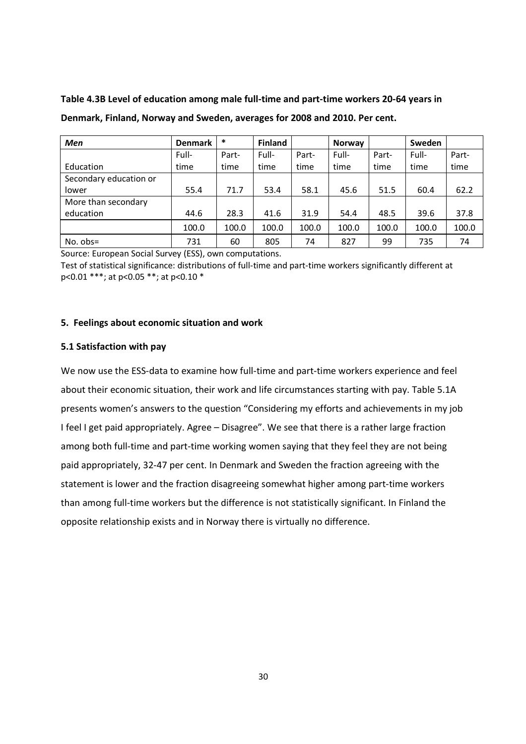| Men                    | <b>Denmark</b> | $\ast$ | <b>Finland</b> |       | <b>Norway</b> |       | <b>Sweden</b> |       |
|------------------------|----------------|--------|----------------|-------|---------------|-------|---------------|-------|
|                        | Full-          | Part-  | Full-          | Part- | Full-         | Part- | Full-         | Part- |
| Education              | time           | time   | time           | time  | time          | time  | time          | time  |
| Secondary education or |                |        |                |       |               |       |               |       |
| lower                  | 55.4           | 71.7   | 53.4           | 58.1  | 45.6          | 51.5  | 60.4          | 62.2  |
| More than secondary    |                |        |                |       |               |       |               |       |
| education              | 44.6           | 28.3   | 41.6           | 31.9  | 54.4          | 48.5  | 39.6          | 37.8  |
|                        | 100.0          | 100.0  | 100.0          | 100.0 | 100.0         | 100.0 | 100.0         | 100.0 |
| $No. obs =$            | 731            | 60     | 805            | 74    | 827           | 99    | 735           | 74    |

**Table 4.3B Level of education among male full-time and part-time workers 20-64 years in Denmark, Finland, Norway and Sweden, averages for 2008 and 2010. Per cent.** 

Source: European Social Survey (ESS), own computations.

Test of statistical significance: distributions of full-time and part-time workers significantly different at p<0.01 \*\*\*; at p<0.05 \*\*; at p<0.10 \*

#### **5. Feelings about economic situation and work**

#### **5.1 Satisfaction with pay**

We now use the ESS-data to examine how full-time and part-time workers experience and feel about their economic situation, their work and life circumstances starting with pay. Table 5.1A presents women's answers to the question "Considering my efforts and achievements in my job I feel I get paid appropriately. Agree – Disagree". We see that there is a rather large fraction among both full-time and part-time working women saying that they feel they are not being paid appropriately, 32-47 per cent. In Denmark and Sweden the fraction agreeing with the statement is lower and the fraction disagreeing somewhat higher among part-time workers than among full-time workers but the difference is not statistically significant. In Finland the opposite relationship exists and in Norway there is virtually no difference.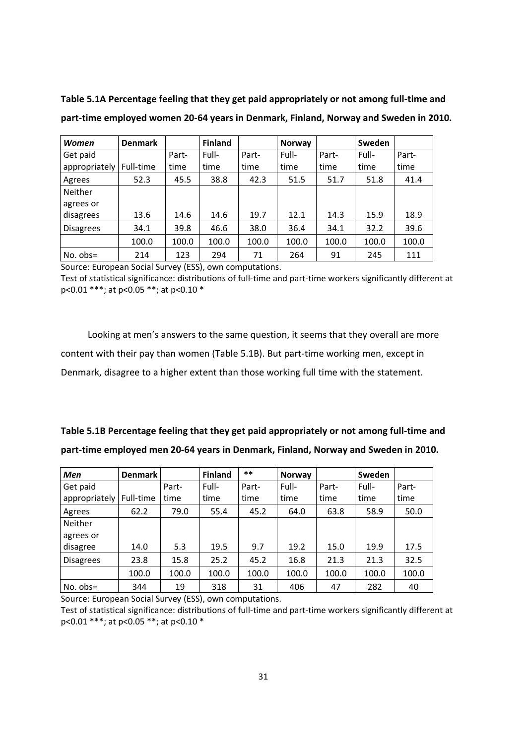**Table 5.1A Percentage feeling that they get paid appropriately or not among full-time and part-time employed women 20-64 years in Denmark, Finland, Norway and Sweden in 2010.**

| Women            | <b>Denmark</b> |       | <b>Finland</b> |       | <b>Norway</b> |       | <b>Sweden</b> |       |
|------------------|----------------|-------|----------------|-------|---------------|-------|---------------|-------|
| Get paid         |                | Part- | Full-          | Part- | Full-         | Part- | Full-         | Part- |
| appropriately    | Full-time      | time  | time           | time  | time          | time  | time          | time  |
| Agrees           | 52.3           | 45.5  | 38.8           | 42.3  | 51.5          | 51.7  | 51.8          | 41.4  |
| Neither          |                |       |                |       |               |       |               |       |
| agrees or        |                |       |                |       |               |       |               |       |
| disagrees        | 13.6           | 14.6  | 14.6           | 19.7  | 12.1          | 14.3  | 15.9          | 18.9  |
| <b>Disagrees</b> | 34.1           | 39.8  | 46.6           | 38.0  | 36.4          | 34.1  | 32.2          | 39.6  |
|                  | 100.0          | 100.0 | 100.0          | 100.0 | 100.0         | 100.0 | 100.0         | 100.0 |
| $No. obs =$      | 214            | 123   | 294            | 71    | 264           | 91    | 245           | 111   |

Source: European Social Survey (ESS), own computations.

Test of statistical significance: distributions of full-time and part-time workers significantly different at p<0.01 \*\*\*; at p<0.05 \*\*; at p<0.10 \*

Looking at men's answers to the same question, it seems that they overall are more content with their pay than women (Table 5.1B). But part-time working men, except in Denmark, disagree to a higher extent than those working full time with the statement.

| Table 5.1B Percentage feeling that they get paid appropriately or not among full-time and |
|-------------------------------------------------------------------------------------------|
| part-time employed men 20-64 years in Denmark, Finland, Norway and Sweden in 2010.        |

| Men              | <b>Denmark</b> |       | <b>Finland</b> | $***$ | <b>Norway</b> |       | Sweden |       |
|------------------|----------------|-------|----------------|-------|---------------|-------|--------|-------|
| Get paid         |                | Part- | Full-          | Part- | Full-         | Part- | Full-  | Part- |
| appropriately    | Full-time      | time  | time           | time  | time          | time  | time   | time  |
| Agrees           | 62.2           | 79.0  | 55.4           | 45.2  | 64.0          | 63.8  | 58.9   | 50.0  |
| Neither          |                |       |                |       |               |       |        |       |
| agrees or        |                |       |                |       |               |       |        |       |
| disagree         | 14.0           | 5.3   | 19.5           | 9.7   | 19.2          | 15.0  | 19.9   | 17.5  |
| <b>Disagrees</b> | 23.8           | 15.8  | 25.2           | 45.2  | 16.8          | 21.3  | 21.3   | 32.5  |
|                  | 100.0          | 100.0 | 100.0          | 100.0 | 100.0         | 100.0 | 100.0  | 100.0 |
| No. $obs=$       | 344            | 19    | 318            | 31    | 406           | 47    | 282    | 40    |

Source: European Social Survey (ESS), own computations.

Test of statistical significance: distributions of full-time and part-time workers significantly different at p<0.01 \*\*\*; at p<0.05 \*\*; at p<0.10 \*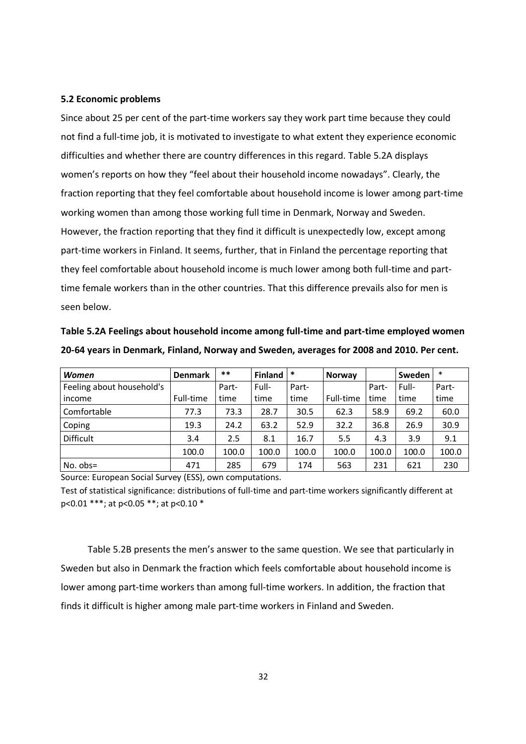#### **5.2 Economic problems**

Since about 25 per cent of the part-time workers say they work part time because they could not find a full-time job, it is motivated to investigate to what extent they experience economic difficulties and whether there are country differences in this regard. Table 5.2A displays women's reports on how they "feel about their household income nowadays". Clearly, the fraction reporting that they feel comfortable about household income is lower among part-time working women than among those working full time in Denmark, Norway and Sweden. However, the fraction reporting that they find it difficult is unexpectedly low, except among part-time workers in Finland. It seems, further, that in Finland the percentage reporting that they feel comfortable about household income is much lower among both full-time and parttime female workers than in the other countries. That this difference prevails also for men is seen below.

| Table 5.2A Feelings about household income among full-time and part-time employed women   |
|-------------------------------------------------------------------------------------------|
| 20-64 years in Denmark, Finland, Norway and Sweden, averages for 2008 and 2010. Per cent. |

| <b>Women</b>              | <b>Denmark</b> | $***$ | <b>Finland</b> | $\ast$ | Norway    |       | Sweden | $\ast$ |
|---------------------------|----------------|-------|----------------|--------|-----------|-------|--------|--------|
| Feeling about household's |                | Part- | Full-          | Part-  |           | Part- | Full-  | Part-  |
| income                    | Full-time      | time  | time           | time   | Full-time | time  | time   | time   |
| Comfortable               | 77.3           | 73.3  | 28.7           | 30.5   | 62.3      | 58.9  | 69.2   | 60.0   |
| Coping                    | 19.3           | 24.2  | 63.2           | 52.9   | 32.2      | 36.8  | 26.9   | 30.9   |
| Difficult                 | 3.4            | 2.5   | 8.1            | 16.7   | 5.5       | 4.3   | 3.9    | 9.1    |
|                           | 100.0          | 100.0 | 100.0          | 100.0  | 100.0     | 100.0 | 100.0  | 100.0  |
| $No. obs =$               | 471            | 285   | 679            | 174    | 563       | 231   | 621    | 230    |

Source: European Social Survey (ESS), own computations.

Test of statistical significance: distributions of full-time and part-time workers significantly different at p<0.01 \*\*\*; at p<0.05 \*\*; at p<0.10 \*

Table 5.2B presents the men's answer to the same question. We see that particularly in Sweden but also in Denmark the fraction which feels comfortable about household income is lower among part-time workers than among full-time workers. In addition, the fraction that finds it difficult is higher among male part-time workers in Finland and Sweden.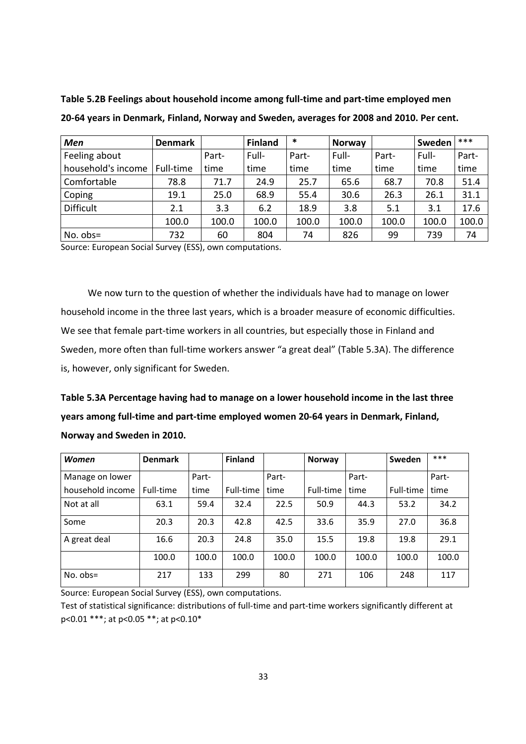| <b>Men</b>         | <b>Denmark</b> |       | <b>Finland</b> | *     | <b>Norway</b> |       | Sweden | $***$ |
|--------------------|----------------|-------|----------------|-------|---------------|-------|--------|-------|
| Feeling about      |                | Part- | Full-          | Part- | Full-         | Part- | Full-  | Part- |
| household's income | Full-time      | time  | time           | time  | time          | time  | time   | time  |
| Comfortable        | 78.8           | 71.7  | 24.9           | 25.7  | 65.6          | 68.7  | 70.8   | 51.4  |
| Coping             | 19.1           | 25.0  | 68.9           | 55.4  | 30.6          | 26.3  | 26.1   | 31.1  |
| <b>Difficult</b>   | 2.1            | 3.3   | 6.2            | 18.9  | 3.8           | 5.1   | 3.1    | 17.6  |
|                    | 100.0          | 100.0 | 100.0          | 100.0 | 100.0         | 100.0 | 100.0  | 100.0 |
| $No. obs =$        | 732            | 60    | 804            | 74    | 826           | 99    | 739    | 74    |

**Table 5.2B Feelings about household income among full-time and part-time employed men 20-64 years in Denmark, Finland, Norway and Sweden, averages for 2008 and 2010. Per cent.**

Source: European Social Survey (ESS), own computations.

We now turn to the question of whether the individuals have had to manage on lower household income in the three last years, which is a broader measure of economic difficulties. We see that female part-time workers in all countries, but especially those in Finland and Sweden, more often than full-time workers answer "a great deal" (Table 5.3A). The difference is, however, only significant for Sweden.

**Table 5.3A Percentage having had to manage on a lower household income in the last three years among full-time and part-time employed women 20-64 years in Denmark, Finland, Norway and Sweden in 2010.**

| <b>Women</b>     | <b>Denmark</b> |       | <b>Finland</b> |       | <b>Norway</b> |       | Sweden    | $***$ |
|------------------|----------------|-------|----------------|-------|---------------|-------|-----------|-------|
| Manage on lower  |                | Part- |                | Part- |               | Part- |           | Part- |
| household income | Full-time      | time  | Full-time      | time  | Full-time     | time  | Full-time | time  |
| Not at all       | 63.1           | 59.4  | 32.4           | 22.5  | 50.9          | 44.3  | 53.2      | 34.2  |
| Some             | 20.3           | 20.3  | 42.8           | 42.5  | 33.6          | 35.9  | 27.0      | 36.8  |
| A great deal     | 16.6           | 20.3  | 24.8           | 35.0  | 15.5          | 19.8  | 19.8      | 29.1  |
|                  | 100.0          | 100.0 | 100.0          | 100.0 | 100.0         | 100.0 | 100.0     | 100.0 |
| $No. obs =$      | 217            | 133   | 299            | 80    | 271           | 106   | 248       | 117   |

Source: European Social Survey (ESS), own computations.

Test of statistical significance: distributions of full-time and part-time workers significantly different at p<0.01 \*\*\*; at p<0.05 \*\*; at p<0.10\*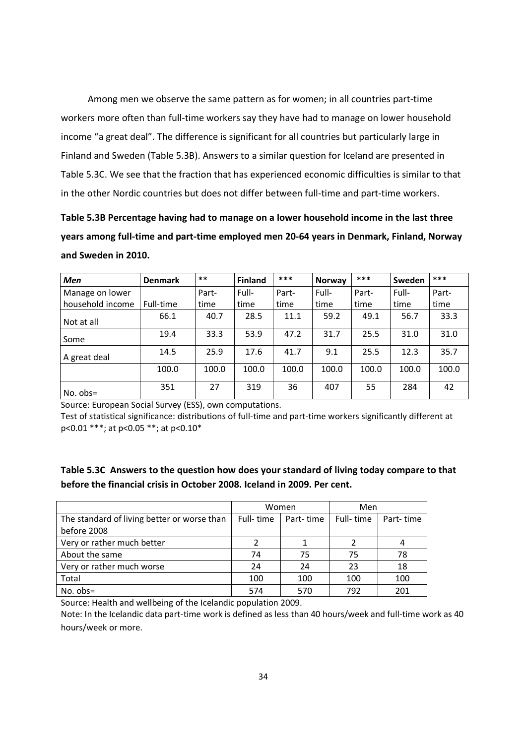Among men we observe the same pattern as for women; in all countries part-time workers more often than full-time workers say they have had to manage on lower household income "a great deal". The difference is significant for all countries but particularly large in Finland and Sweden (Table 5.3B). Answers to a similar question for Iceland are presented in Table 5.3C. We see that the fraction that has experienced economic difficulties is similar to that in the other Nordic countries but does not differ between full-time and part-time workers.

**Table 5.3B Percentage having had to manage on a lower household income in the last three years among full-time and part-time employed men 20-64 years in Denmark, Finland, Norway and Sweden in 2010.**

| <b>Men</b>       | <b>Denmark</b> | $***$ | <b>Finland</b> | ***   | Norway | ***   | Sweden | ***   |
|------------------|----------------|-------|----------------|-------|--------|-------|--------|-------|
| Manage on lower  |                | Part- | Full-          | Part- | Full-  | Part- | Full-  | Part- |
| household income | Full-time      | time  | time           | time  | time   | time  | time   | time  |
| Not at all       | 66.1           | 40.7  | 28.5           | 11.1  | 59.2   | 49.1  | 56.7   | 33.3  |
| Some             | 19.4           | 33.3  | 53.9           | 47.2  | 31.7   | 25.5  | 31.0   | 31.0  |
| A great deal     | 14.5           | 25.9  | 17.6           | 41.7  | 9.1    | 25.5  | 12.3   | 35.7  |
|                  | 100.0          | 100.0 | 100.0          | 100.0 | 100.0  | 100.0 | 100.0  | 100.0 |
| $No. obs =$      | 351            | 27    | 319            | 36    | 407    | 55    | 284    | 42    |

Source: European Social Survey (ESS), own computations.

Test of statistical significance: distributions of full-time and part-time workers significantly different at p<0.01 \*\*\*; at p<0.05 \*\*; at p<0.10\*

## **Table 5.3C Answers to the question how does your standard of living today compare to that before the financial crisis in October 2008. Iceland in 2009. Per cent.**

|                                             |           | Women     | Men       |           |
|---------------------------------------------|-----------|-----------|-----------|-----------|
| The standard of living better or worse than | Full-time | Part-time | Full-time | Part-time |
| before 2008                                 |           |           |           |           |
| Very or rather much better                  |           |           |           |           |
| About the same                              | 74        | 75        | 75        | 78        |
| Very or rather much worse                   | 24        | 24        | 23        | 18        |
| Total                                       | 100       | 100       | 100       | 100       |
| No. $obs=$                                  | 574       | 570       | 792       | 201       |

Source: Health and wellbeing of the Icelandic population 2009.

Note: In the Icelandic data part-time work is defined as less than 40 hours/week and full-time work as 40 hours/week or more.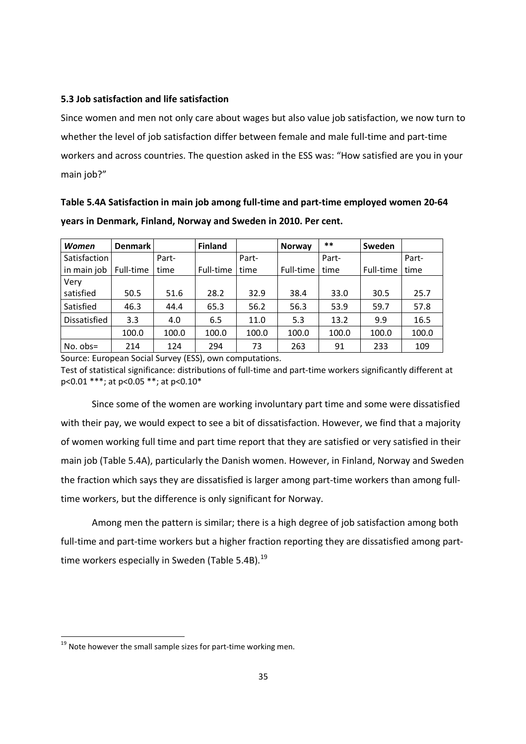#### **5.3 Job satisfaction and life satisfaction**

Since women and men not only care about wages but also value job satisfaction, we now turn to whether the level of job satisfaction differ between female and male full-time and part-time workers and across countries. The question asked in the ESS was: "How satisfied are you in your main job?"

| years in Denmark, Finland, Norway and Sweden in 2010. Per cent. |                |          |                |     |               |          |        |           |  |
|-----------------------------------------------------------------|----------------|----------|----------------|-----|---------------|----------|--------|-----------|--|
| Women                                                           | <b>Denmark</b> |          | <b>Finland</b> |     | <b>Norway</b> | $***$    | Sweden |           |  |
| $C = 1.6$                                                       |                | $D = -1$ |                | D-A |               | $D = -1$ |        | $D - \mu$ |  |

**Table 5.4A Satisfaction in main job among full-time and part-time employed women 20-64** 

| Women        | <b>Denmark</b> |       | <b>Finland</b> |       | <b>Norway</b> | **    | Sweden    |       |
|--------------|----------------|-------|----------------|-------|---------------|-------|-----------|-------|
| Satisfaction |                | Part- |                | Part- |               | Part- |           | Part- |
| in main job  | Full-time      | time  | Full-time      | time  | Full-time     | time  | Full-time | time  |
| Very         |                |       |                |       |               |       |           |       |
| satisfied    | 50.5           | 51.6  | 28.2           | 32.9  | 38.4          | 33.0  | 30.5      | 25.7  |
| Satisfied    | 46.3           | 44.4  | 65.3           | 56.2  | 56.3          | 53.9  | 59.7      | 57.8  |
| Dissatisfied | 3.3            | 4.0   | 6.5            | 11.0  | 5.3           | 13.2  | 9.9       | 16.5  |
|              | 100.0          | 100.0 | 100.0          | 100.0 | 100.0         | 100.0 | 100.0     | 100.0 |
| $No. obs =$  | 214            | 124   | 294            | 73    | 263           | 91    | 233       | 109   |

Source: European Social Survey (ESS), own computations.

Test of statistical significance: distributions of full-time and part-time workers significantly different at p<0.01 \*\*\*; at p<0.05 \*\*; at p<0.10\*

Since some of the women are working involuntary part time and some were dissatisfied with their pay, we would expect to see a bit of dissatisfaction. However, we find that a majority of women working full time and part time report that they are satisfied or very satisfied in their main job (Table 5.4A), particularly the Danish women. However, in Finland, Norway and Sweden the fraction which says they are dissatisfied is larger among part-time workers than among fulltime workers, but the difference is only significant for Norway.

Among men the pattern is similar; there is a high degree of job satisfaction among both full-time and part-time workers but a higher fraction reporting they are dissatisfied among parttime workers especially in Sweden (Table 5.4B).<sup>19</sup>

<u>.</u>

<sup>&</sup>lt;sup>19</sup> Note however the small sample sizes for part-time working men.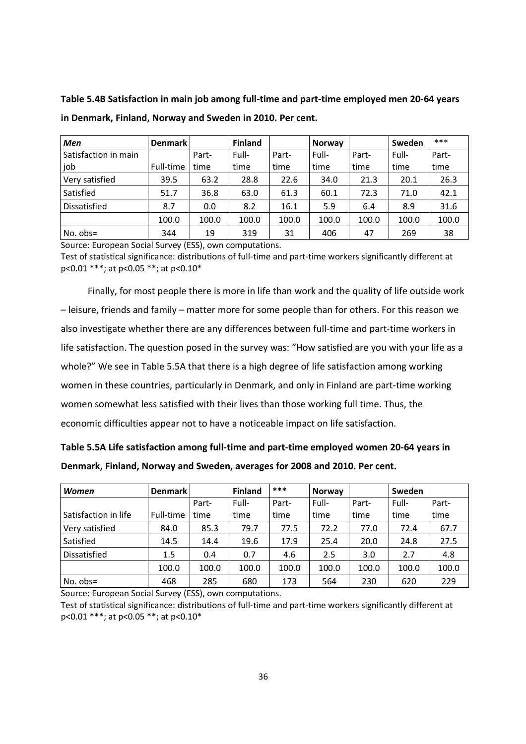**Table 5.4B Satisfaction in main job among full-time and part-time employed men 20-64 years in Denmark, Finland, Norway and Sweden in 2010. Per cent.**

| Men                  | <b>Denmark</b> |       | <b>Finland</b> |       | Norway |       | Sweden | ***   |
|----------------------|----------------|-------|----------------|-------|--------|-------|--------|-------|
| Satisfaction in main |                | Part- | Full-          | Part- | Full-  | Part- | Full-  | Part- |
| job                  | Full-time      | time  | time           | time  | time   | time  | time   | time  |
| Very satisfied       | 39.5           | 63.2  | 28.8           | 22.6  | 34.0   | 21.3  | 20.1   | 26.3  |
| Satisfied            | 51.7           | 36.8  | 63.0           | 61.3  | 60.1   | 72.3  | 71.0   | 42.1  |
| Dissatisfied         | 8.7            | 0.0   | 8.2            | 16.1  | 5.9    | 6.4   | 8.9    | 31.6  |
|                      | 100.0          | 100.0 | 100.0          | 100.0 | 100.0  | 100.0 | 100.0  | 100.0 |
| $No. obs =$          | 344            | 19    | 319            | 31    | 406    | 47    | 269    | 38    |

Source: European Social Survey (ESS), own computations.

Test of statistical significance: distributions of full-time and part-time workers significantly different at p<0.01 \*\*\*; at p<0.05 \*\*; at p<0.10\*

Finally, for most people there is more in life than work and the quality of life outside work – leisure, friends and family – matter more for some people than for others. For this reason we also investigate whether there are any differences between full-time and part-time workers in life satisfaction. The question posed in the survey was: "How satisfied are you with your life as a whole?" We see in Table 5.5A that there is a high degree of life satisfaction among working women in these countries, particularly in Denmark, and only in Finland are part-time working women somewhat less satisfied with their lives than those working full time. Thus, the economic difficulties appear not to have a noticeable impact on life satisfaction.

| Table 5.5A Life satisfaction among full-time and part-time employed women 20-64 years in |
|------------------------------------------------------------------------------------------|
| Denmark, Finland, Norway and Sweden, averages for 2008 and 2010. Per cent.               |

| <b>Women</b>         | <b>Denmark</b> |       | <b>Finland</b> | ***   | Norway |       | Sweden |       |
|----------------------|----------------|-------|----------------|-------|--------|-------|--------|-------|
|                      |                | Part- | Full-          | Part- | Full-  | Part- | Full-  | Part- |
| Satisfaction in life | Full-time      | time  | time           | time  | time   | time  | time   | time  |
| Very satisfied       | 84.0           | 85.3  | 79.7           | 77.5  | 72.2   | 77.0  | 72.4   | 67.7  |
| Satisfied            | 14.5           | 14.4  | 19.6           | 17.9  | 25.4   | 20.0  | 24.8   | 27.5  |
| Dissatisfied         | 1.5            | 0.4   | 0.7            | 4.6   | 2.5    | 3.0   | 2.7    | 4.8   |
|                      | 100.0          | 100.0 | 100.0          | 100.0 | 100.0  | 100.0 | 100.0  | 100.0 |
| $No. obs =$          | 468            | 285   | 680            | 173   | 564    | 230   | 620    | 229   |

Source: European Social Survey (ESS), own computations.

Test of statistical significance: distributions of full-time and part-time workers significantly different at p<0.01 \*\*\*; at p<0.05 \*\*; at p<0.10\*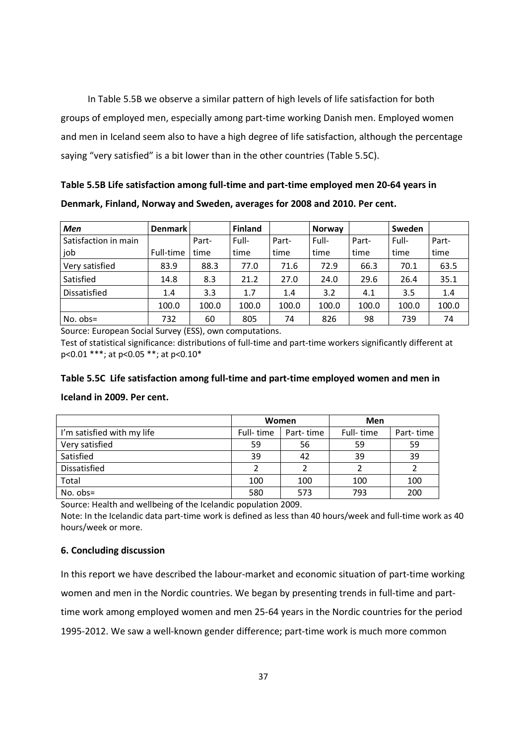In Table 5.5B we observe a similar pattern of high levels of life satisfaction for both groups of employed men, especially among part-time working Danish men. Employed women and men in Iceland seem also to have a high degree of life satisfaction, although the percentage saying "very satisfied" is a bit lower than in the other countries (Table 5.5C).

**Table 5.5B Life satisfaction among full-time and part-time employed men 20-64 years in Denmark, Finland, Norway and Sweden, averages for 2008 and 2010. Per cent.**

| Men                  | <b>Denmark</b> |       | <b>Finland</b> |       | <b>Norway</b> |       | Sweden |       |
|----------------------|----------------|-------|----------------|-------|---------------|-------|--------|-------|
| Satisfaction in main |                | Part- | Full-          | Part- | Full-         | Part- | Full-  | Part- |
| job                  | Full-time      | time  | time           | time  | time          | time  | time   | time  |
| Very satisfied       | 83.9           | 88.3  | 77.0           | 71.6  | 72.9          | 66.3  | 70.1   | 63.5  |
| Satisfied            | 14.8           | 8.3   | 21.2           | 27.0  | 24.0          | 29.6  | 26.4   | 35.1  |
| Dissatisfied         | 1.4            | 3.3   | 1.7            | 1.4   | 3.2           | 4.1   | 3.5    | 1.4   |
|                      | 100.0          | 100.0 | 100.0          | 100.0 | 100.0         | 100.0 | 100.0  | 100.0 |
| $No. obs =$          | 732            | 60    | 805            | 74    | 826           | 98    | 739    | 74    |

Source: European Social Survey (ESS), own computations.

Test of statistical significance: distributions of full-time and part-time workers significantly different at p<0.01 \*\*\*; at p<0.05 \*\*; at p<0.10\*

## **Table 5.5C Life satisfaction among full-time and part-time employed women and men in**

### **Iceland in 2009. Per cent.**

|                            |           | Women     | Men        |           |
|----------------------------|-----------|-----------|------------|-----------|
| I'm satisfied with my life | Full-time | Part-time | Full- time | Part-time |
| Very satisfied             | 59        | 56        | 59         | 59        |
| Satisfied                  | 39        | 42        | 39         | 39        |
| Dissatisfied               |           |           |            |           |
| Total                      | 100       | 100       | 100        | 100       |
| $No. obs =$                | 580       | 573       | 793        | 200       |

Source: Health and wellbeing of the Icelandic population 2009.

Note: In the Icelandic data part-time work is defined as less than 40 hours/week and full-time work as 40 hours/week or more.

#### **6. Concluding discussion**

In this report we have described the labour-market and economic situation of part-time working women and men in the Nordic countries. We began by presenting trends in full-time and parttime work among employed women and men 25-64 years in the Nordic countries for the period 1995-2012. We saw a well-known gender difference; part-time work is much more common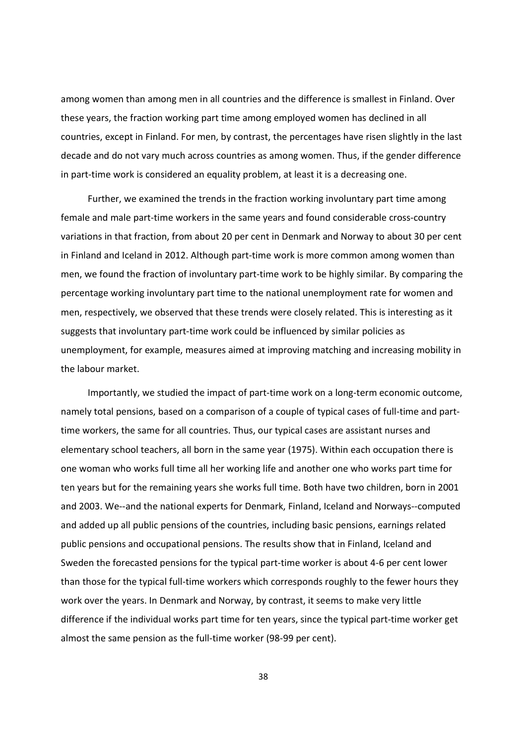among women than among men in all countries and the difference is smallest in Finland. Over these years, the fraction working part time among employed women has declined in all countries, except in Finland. For men, by contrast, the percentages have risen slightly in the last decade and do not vary much across countries as among women. Thus, if the gender difference in part-time work is considered an equality problem, at least it is a decreasing one.

Further, we examined the trends in the fraction working involuntary part time among female and male part-time workers in the same years and found considerable cross-country variations in that fraction, from about 20 per cent in Denmark and Norway to about 30 per cent in Finland and Iceland in 2012. Although part-time work is more common among women than men, we found the fraction of involuntary part-time work to be highly similar. By comparing the percentage working involuntary part time to the national unemployment rate for women and men, respectively, we observed that these trends were closely related. This is interesting as it suggests that involuntary part-time work could be influenced by similar policies as unemployment, for example, measures aimed at improving matching and increasing mobility in the labour market.

Importantly, we studied the impact of part-time work on a long-term economic outcome, namely total pensions, based on a comparison of a couple of typical cases of full-time and parttime workers, the same for all countries. Thus, our typical cases are assistant nurses and elementary school teachers, all born in the same year (1975). Within each occupation there is one woman who works full time all her working life and another one who works part time for ten years but for the remaining years she works full time. Both have two children, born in 2001 and 2003. We--and the national experts for Denmark, Finland, Iceland and Norways--computed and added up all public pensions of the countries, including basic pensions, earnings related public pensions and occupational pensions. The results show that in Finland, Iceland and Sweden the forecasted pensions for the typical part-time worker is about 4-6 per cent lower than those for the typical full-time workers which corresponds roughly to the fewer hours they work over the years. In Denmark and Norway, by contrast, it seems to make very little difference if the individual works part time for ten years, since the typical part-time worker get almost the same pension as the full-time worker (98-99 per cent).

38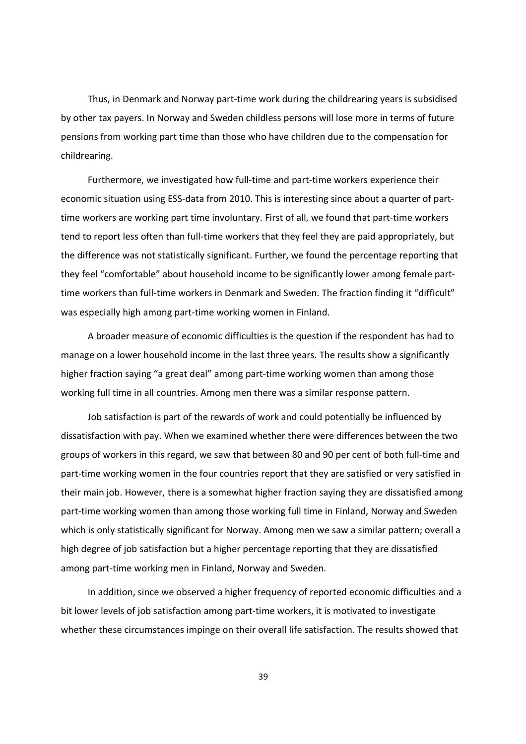Thus, in Denmark and Norway part-time work during the childrearing years is subsidised by other tax payers. In Norway and Sweden childless persons will lose more in terms of future pensions from working part time than those who have children due to the compensation for childrearing.

Furthermore, we investigated how full-time and part-time workers experience their economic situation using ESS-data from 2010. This is interesting since about a quarter of parttime workers are working part time involuntary. First of all, we found that part-time workers tend to report less often than full-time workers that they feel they are paid appropriately, but the difference was not statistically significant. Further, we found the percentage reporting that they feel "comfortable" about household income to be significantly lower among female parttime workers than full-time workers in Denmark and Sweden. The fraction finding it "difficult" was especially high among part-time working women in Finland.

A broader measure of economic difficulties is the question if the respondent has had to manage on a lower household income in the last three years. The results show a significantly higher fraction saying "a great deal" among part-time working women than among those working full time in all countries. Among men there was a similar response pattern.

Job satisfaction is part of the rewards of work and could potentially be influenced by dissatisfaction with pay. When we examined whether there were differences between the two groups of workers in this regard, we saw that between 80 and 90 per cent of both full-time and part-time working women in the four countries report that they are satisfied or very satisfied in their main job. However, there is a somewhat higher fraction saying they are dissatisfied among part-time working women than among those working full time in Finland, Norway and Sweden which is only statistically significant for Norway. Among men we saw a similar pattern; overall a high degree of job satisfaction but a higher percentage reporting that they are dissatisfied among part-time working men in Finland, Norway and Sweden.

In addition, since we observed a higher frequency of reported economic difficulties and a bit lower levels of job satisfaction among part-time workers, it is motivated to investigate whether these circumstances impinge on their overall life satisfaction. The results showed that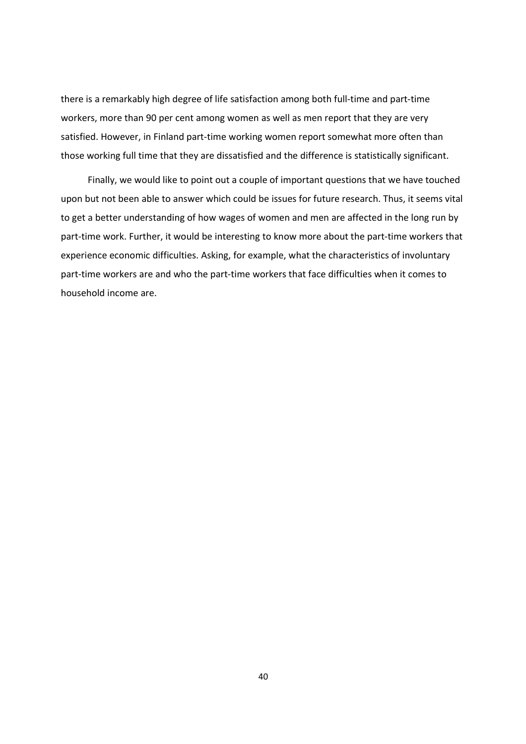there is a remarkably high degree of life satisfaction among both full-time and part-time workers, more than 90 per cent among women as well as men report that they are very satisfied. However, in Finland part-time working women report somewhat more often than those working full time that they are dissatisfied and the difference is statistically significant.

Finally, we would like to point out a couple of important questions that we have touched upon but not been able to answer which could be issues for future research. Thus, it seems vital to get a better understanding of how wages of women and men are affected in the long run by part-time work. Further, it would be interesting to know more about the part-time workers that experience economic difficulties. Asking, for example, what the characteristics of involuntary part-time workers are and who the part-time workers that face difficulties when it comes to household income are.